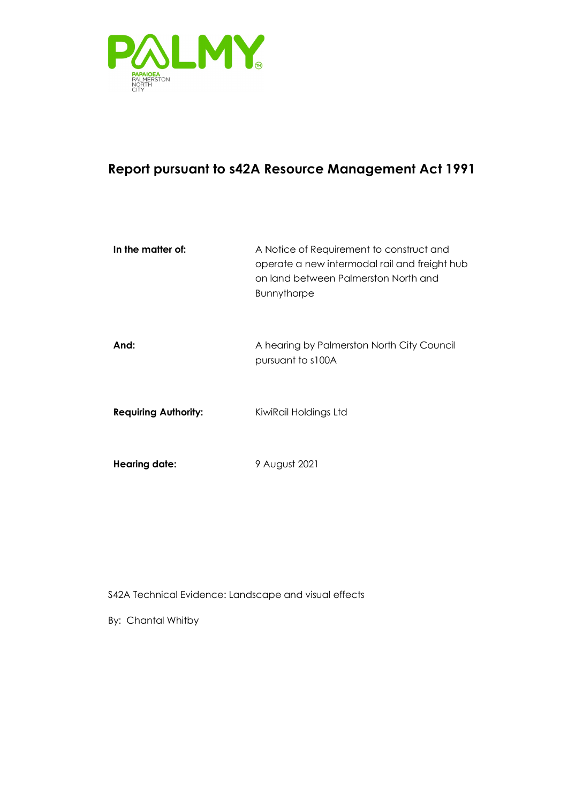

## **Report pursuant to s42A Resource Management Act 1991**

| In the matter of:           | A Notice of Requirement to construct and<br>operate a new intermodal rail and freight hub<br>on land between Palmerston North and<br><b>Bunnythorpe</b> |
|-----------------------------|---------------------------------------------------------------------------------------------------------------------------------------------------------|
| And:                        | A hearing by Palmerston North City Council<br>pursuant to s100A                                                                                         |
| <b>Requiring Authority:</b> | KiwiRail Holdings Ltd                                                                                                                                   |
| <b>Hearing date:</b>        | 9 August 2021                                                                                                                                           |

S42A Technical Evidence: Landscape and visual effects

By: Chantal Whitby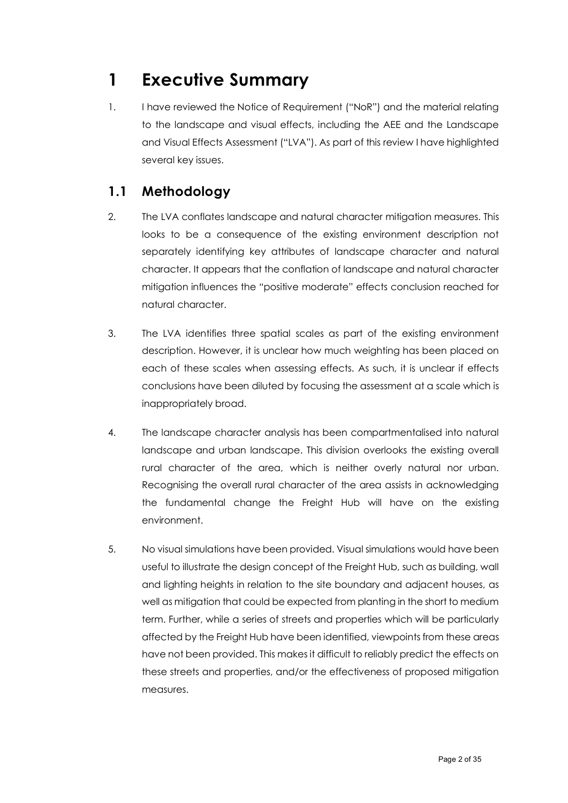# <span id="page-1-0"></span>**1 Executive Summary**

1. I have reviewed the Notice of Requirement ("NoR") and the material relating to the landscape and visual effects, including the AEE and the Landscape and Visual Effects Assessment ("LVA"). As part of this review I have highlighted several key issues.

## <span id="page-1-1"></span>**1.1 Methodology**

- 2. The LVA conflates landscape and natural character mitigation measures. This looks to be a consequence of the existing environment description not separately identifying key attributes of landscape character and natural character. It appears that the conflation of landscape and natural character mitigation influences the "positive moderate" effects conclusion reached for natural character.
- 3. The LVA identifies three spatial scales as part of the existing environment description. However, it is unclear how much weighting has been placed on each of these scales when assessing effects. As such, it is unclear if effects conclusions have been diluted by focusing the assessment at a scale which is inappropriately broad.
- 4. The landscape character analysis has been compartmentalised into natural landscape and urban landscape. This division overlooks the existing overall rural character of the area, which is neither overly natural nor urban. Recognising the overall rural character of the area assists in acknowledging the fundamental change the Freight Hub will have on the existing environment.
- 5. No visual simulations have been provided. Visual simulations would have been useful to illustrate the design concept of the Freight Hub, such as building, wall and lighting heights in relation to the site boundary and adjacent houses, as well as mitigation that could be expected from planting in the short to medium term. Further, while a series of streets and properties which will be particularly affected by the Freight Hub have been identified, viewpoints from these areas have not been provided. This makes it difficult to reliably predict the effects on these streets and properties, and/or the effectiveness of proposed mitigation measures.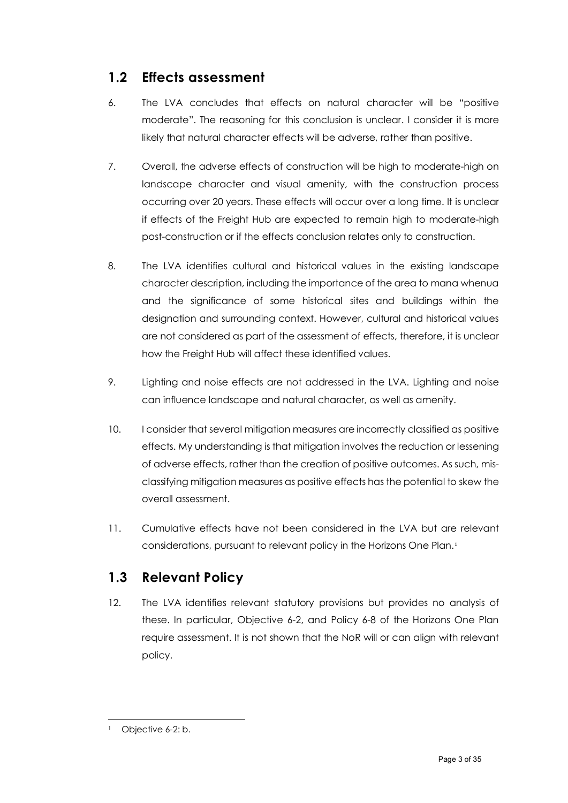#### <span id="page-2-1"></span>**1.2 Effects assessment**

- 6. The LVA concludes that effects on natural character will be "positive moderate". The reasoning for this conclusion is unclear. I consider it is more likely that natural character effects will be adverse, rather than positive.
- 7. Overall, the adverse effects of construction will be high to moderate-high on landscape character and visual amenity, with the construction process occurring over 20 years. These effects will occur over a long time. It is unclear if effects of the Freight Hub are expected to remain high to moderate-high post-construction or if the effects conclusion relates only to construction.
- 8. The LVA identifies cultural and historical values in the existing landscape character description, including the importance of the area to mana whenua and the significance of some historical sites and buildings within the designation and surrounding context. However, cultural and historical values are not considered as part of the assessment of effects, therefore, it is unclear how the Freight Hub will affect these identified values.
- 9. Lighting and noise effects are not addressed in the LVA. Lighting and noise can influence landscape and natural character, as well as amenity.
- 10. I consider that several mitigation measures are incorrectly classified as positive effects. My understanding is that mitigation involves the reduction or lessening of adverse effects, rather than the creation of positive outcomes. As such, misclassifying mitigation measures as positive effects has the potential to skew the overall assessment.
- 11. Cumulative effects have not been considered in the LVA but are relevant considerations, pursuant to relevant policy in the Horizons One Plan.[1](#page-2-0)

### <span id="page-2-2"></span>**1.3 Relevant Policy**

12. The LVA identifies relevant statutory provisions but provides no analysis of these. In particular, Objective 6-2, and Policy 6-8 of the Horizons One Plan require assessment. It is not shown that the NoR will or can align with relevant policy.

<span id="page-2-0"></span><sup>&</sup>lt;sup>1</sup> Objective 6-2: b.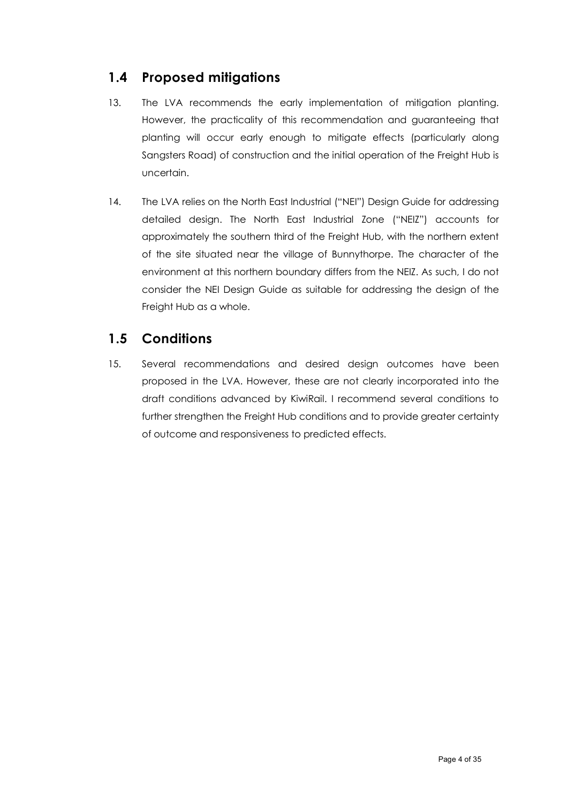### <span id="page-3-0"></span>**1.4 Proposed mitigations**

- 13. The LVA recommends the early implementation of mitigation planting. However, the practicality of this recommendation and guaranteeing that planting will occur early enough to mitigate effects (particularly along Sangsters Road) of construction and the initial operation of the Freight Hub is uncertain.
- 14. The LVA relies on the North East Industrial ("NEI") Design Guide for addressing detailed design. The North East Industrial Zone ("NEIZ") accounts for approximately the southern third of the Freight Hub, with the northern extent of the site situated near the village of Bunnythorpe. The character of the environment at this northern boundary differs from the NEIZ. As such, I do not consider the NEI Design Guide as suitable for addressing the design of the Freight Hub as a whole.

### <span id="page-3-1"></span>**1.5 Conditions**

15. Several recommendations and desired design outcomes have been proposed in the LVA. However, these are not clearly incorporated into the draft conditions advanced by KiwiRail. I recommend several conditions to further strengthen the Freight Hub conditions and to provide greater certainty of outcome and responsiveness to predicted effects.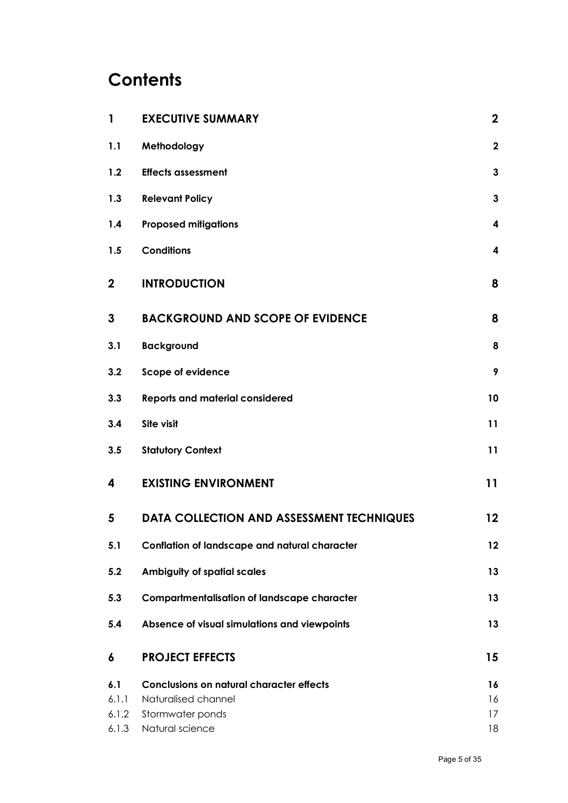# **Contents**

| $\mathbf{1}$   | <b>EXECUTIVE SUMMARY</b>                           | $\boldsymbol{2}$        |
|----------------|----------------------------------------------------|-------------------------|
| 1.1            | Methodology                                        | $\overline{\mathbf{2}}$ |
| 1.2            | <b>Effects assessment</b>                          | 3                       |
| 1.3            | <b>Relevant Policy</b>                             | $\mathbf{3}$            |
| 1.4            | <b>Proposed mitigations</b>                        | 4                       |
| 1.5            | <b>Conditions</b>                                  | 4                       |
| $\mathbf{2}$   | <b>INTRODUCTION</b>                                | 8                       |
| 3              | <b>BACKGROUND AND SCOPE OF EVIDENCE</b>            | 8                       |
| 3.1            | <b>Background</b>                                  | 8                       |
| 3.2            | Scope of evidence                                  | 9                       |
| 3.3            | <b>Reports and material considered</b>             | 10                      |
| 3.4            | Site visit                                         | 11                      |
| 3.5            | <b>Statutory Context</b>                           | 11                      |
| 4              | <b>EXISTING ENVIRONMENT</b>                        | 11                      |
| 5              | <b>DATA COLLECTION AND ASSESSMENT TECHNIQUES</b>   | $12 \,$                 |
| 5.1            | Conflation of landscape and natural character      | 12                      |
| 5.2            | Ambiguity of spatial scales                        | 13                      |
| 5.3            | <b>Compartmentalisation of landscape character</b> | 13                      |
| 5.4            | Absence of visual simulations and viewpoints       | 13                      |
| 6              | <b>PROJECT EFFECTS</b>                             | 15                      |
| 6.1            | <b>Conclusions on natural character effects</b>    | 16                      |
| 6.1.1<br>6.1.2 | Naturalised channel                                | 16<br>17                |
| 6.1.3          | Stormwater ponds<br>Natural science                | 18                      |
|                |                                                    |                         |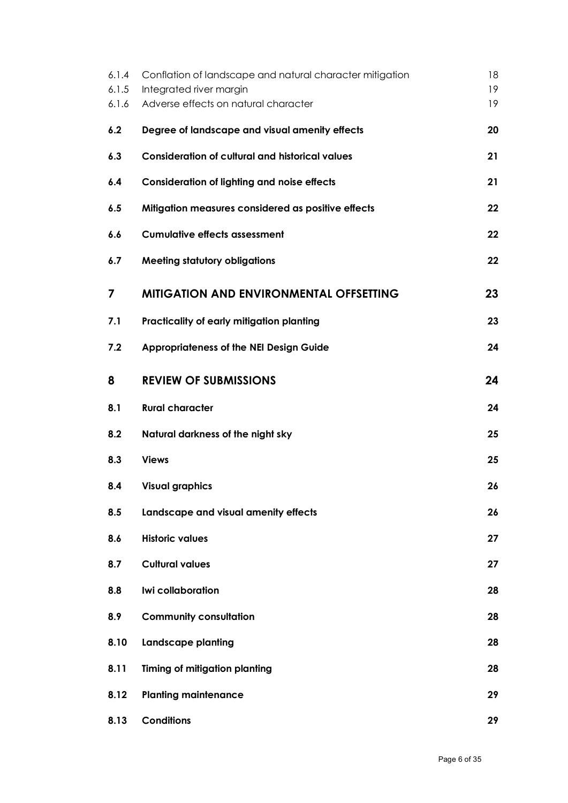| 6.1.4<br>6.1.5          | Conflation of landscape and natural character mitigation<br>Integrated river margin | 18<br>19 |
|-------------------------|-------------------------------------------------------------------------------------|----------|
| 6.1.6                   | Adverse effects on natural character                                                | 19       |
| 6.2                     | Degree of landscape and visual amenity effects                                      | 20       |
| 6.3                     | <b>Consideration of cultural and historical values</b>                              | 21       |
| 6.4                     | <b>Consideration of lighting and noise effects</b>                                  | 21       |
| 6.5                     | Mitigation measures considered as positive effects                                  | 22       |
| 6.6                     | <b>Cumulative effects assessment</b>                                                | 22       |
| 6.7                     | <b>Meeting statutory obligations</b>                                                | 22       |
| $\overline{\mathbf{z}}$ | <b>MITIGATION AND ENVIRONMENTAL OFFSETTING</b>                                      | 23       |
| 7.1                     | Practicality of early mitigation planting                                           | 23       |
| 7.2                     | Appropriateness of the NEI Design Guide                                             | 24       |
| 8                       | <b>REVIEW OF SUBMISSIONS</b>                                                        | 24       |
| 8.1                     | <b>Rural character</b>                                                              | 24       |
| 8.2                     | Natural darkness of the night sky                                                   | 25       |
| 8.3                     | <b>Views</b>                                                                        | 25       |
| 8.4                     | <b>Visual graphics</b>                                                              | 26       |
| 8.5                     | Landscape and visual amenity effects                                                | 26       |
| 8.6                     | <b>Historic values</b>                                                              | 27       |
| 8.7                     | <b>Cultural values</b>                                                              | 27       |
| 8.8                     | Iwi collaboration                                                                   | 28       |
| 8.9                     | <b>Community consultation</b>                                                       | 28       |
| 8.10                    | <b>Landscape planting</b>                                                           | 28       |
| 8.11                    | <b>Timing of mitigation planting</b>                                                | 28       |
| 8.12                    | <b>Planting maintenance</b>                                                         | 29       |
| 8.13                    | <b>Conditions</b>                                                                   | 29       |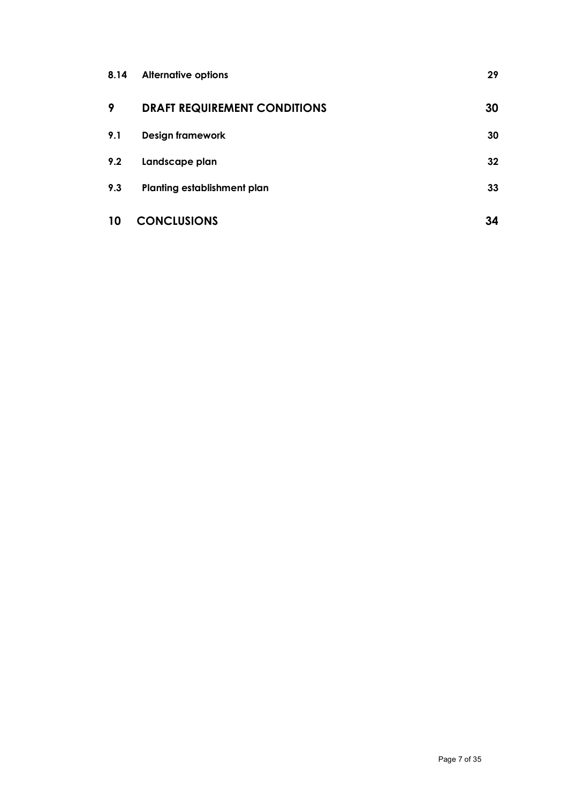| 8.14 | <b>Alternative options</b>          | 29 |
|------|-------------------------------------|----|
| 9    | <b>DRAFT REQUIREMENT CONDITIONS</b> | 30 |
| 9.1  | <b>Design framework</b>             | 30 |
| 9.2  | Landscape plan                      | 32 |
| 9.3  | <b>Planting establishment plan</b>  | 33 |
| 10   | <b>CONCLUSIONS</b>                  | 34 |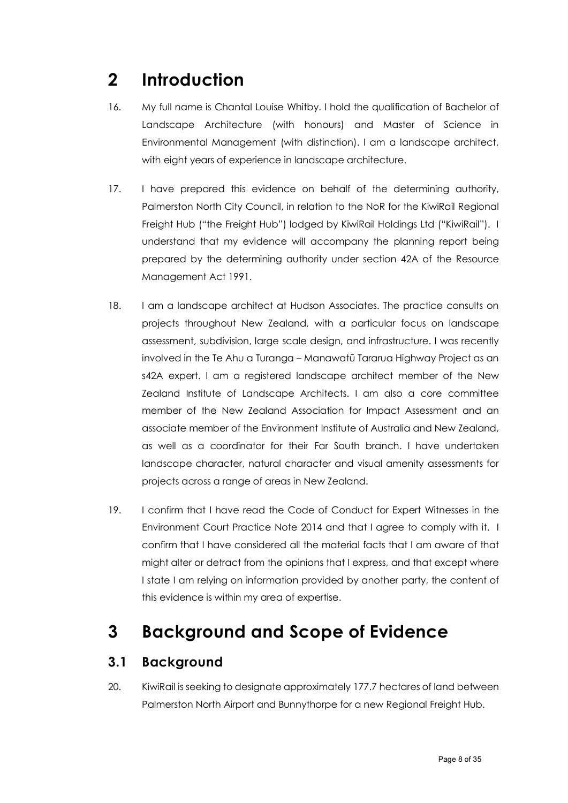# <span id="page-7-0"></span>**2 Introduction**

- 16. My full name is Chantal Louise Whitby. I hold the qualification of Bachelor of Landscape Architecture (with honours) and Master of Science in Environmental Management (with distinction). I am a landscape architect, with eight years of experience in landscape architecture.
- 17. I have prepared this evidence on behalf of the determining authority, Palmerston North City Council, in relation to the NoR for the KiwiRail Regional Freight Hub ("the Freight Hub") lodged by KiwiRail Holdings Ltd ("KiwiRail"). I understand that my evidence will accompany the planning report being prepared by the determining authority under section 42A of the Resource Management Act 1991.
- 18. I am a landscape architect at Hudson Associates. The practice consults on projects throughout New Zealand, with a particular focus on landscape assessment, subdivision, large scale design, and infrastructure. I was recently involved in the Te Ahu a Turanga – Manawatū Tararua Highway Project as an s42A expert. I am a registered landscape architect member of the New Zealand Institute of Landscape Architects. I am also a core committee member of the New Zealand Association for Impact Assessment and an associate member of the Environment Institute of Australia and New Zealand, as well as a coordinator for their Far South branch. I have undertaken landscape character, natural character and visual amenity assessments for projects across a range of areas in New Zealand.
- 19. I confirm that I have read the Code of Conduct for Expert Witnesses in the Environment Court Practice Note 2014 and that I agree to comply with it. I confirm that I have considered all the material facts that I am aware of that might alter or detract from the opinions that I express, and that except where I state I am relying on information provided by another party, the content of this evidence is within my area of expertise.

# <span id="page-7-1"></span>**3 Background and Scope of Evidence**

### <span id="page-7-2"></span>**3.1 Background**

20. KiwiRail is seeking to designate approximately 177.7 hectares of land between Palmerston North Airport and Bunnythorpe for a new Regional Freight Hub.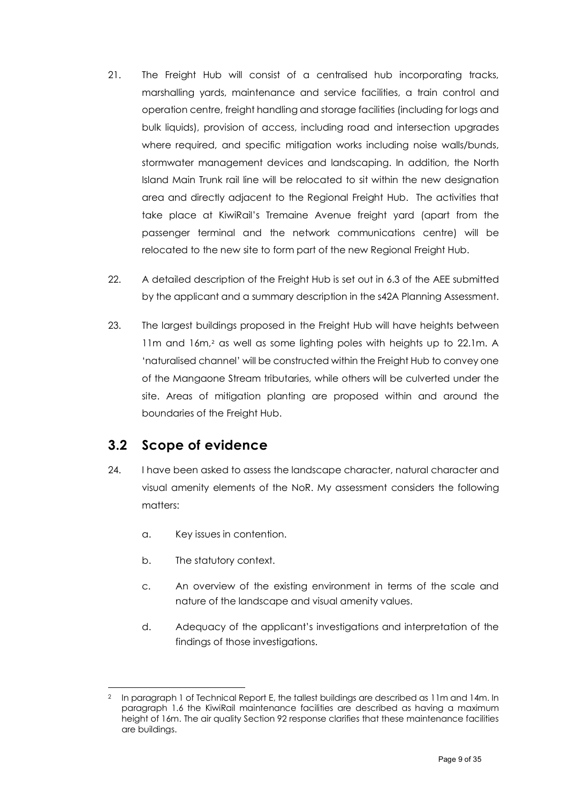- 21. The Freight Hub will consist of a centralised hub incorporating tracks, marshalling yards, maintenance and service facilities, a train control and operation centre, freight handling and storage facilities (including for logs and bulk liquids), provision of access, including road and intersection upgrades where required, and specific mitigation works including noise walls/bunds, stormwater management devices and landscaping. In addition, the North Island Main Trunk rail line will be relocated to sit within the new designation area and directly adjacent to the Regional Freight Hub. The activities that take place at KiwiRail's Tremaine Avenue freight yard (apart from the passenger terminal and the network communications centre) will be relocated to the new site to form part of the new Regional Freight Hub.
- 22. A detailed description of the Freight Hub is set out in 6.3 of the AEE submitted by the applicant and a summary description in the s42A Planning Assessment.
- 23. The largest buildings proposed in the Freight Hub will have heights between 11m and 16m,<sup>[2](#page-8-1)</sup> as well as some lighting poles with heights up to 22.1m. A 'naturalised channel' will be constructed within the Freight Hub to convey one of the Mangaone Stream tributaries, while others will be culverted under the site. Areas of mitigation planting are proposed within and around the boundaries of the Freight Hub.

### <span id="page-8-0"></span>**3.2 Scope of evidence**

- 24. I have been asked to assess the landscape character, natural character and visual amenity elements of the NoR. My assessment considers the following matters:
	- a. Key issues in contention.
	- b. The statutory context.
	- c. An overview of the existing environment in terms of the scale and nature of the landscape and visual amenity values.
	- d. Adequacy of the applicant's investigations and interpretation of the findings of those investigations.

<span id="page-8-1"></span><sup>2</sup> In paragraph 1 of Technical Report E, the tallest buildings are described as 11m and 14m. In paragraph 1.6 the KiwiRail maintenance facilities are described as having a maximum height of 16m. The air quality Section 92 response clarifies that these maintenance facilities are buildings.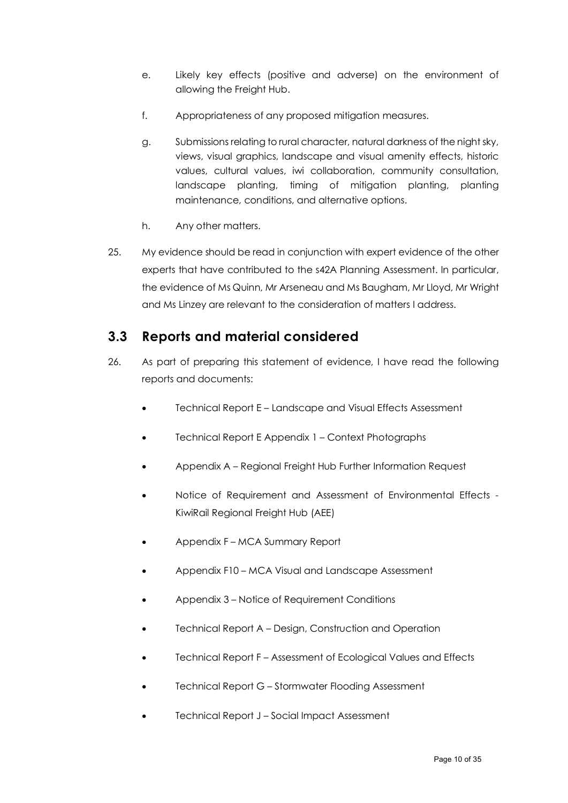- e. Likely key effects (positive and adverse) on the environment of allowing the Freight Hub.
- f. Appropriateness of any proposed mitigation measures.
- g. Submissions relating to rural character, natural darkness of the night sky, views, visual graphics, landscape and visual amenity effects, historic values, cultural values, iwi collaboration, community consultation, landscape planting, timing of mitigation planting, planting maintenance, conditions, and alternative options.
- h. Any other matters.
- 25. My evidence should be read in conjunction with expert evidence of the other experts that have contributed to the s42A Planning Assessment. In particular, the evidence of Ms Quinn, Mr Arseneau and Ms Baugham, Mr Lloyd, Mr Wright and Ms Linzey are relevant to the consideration of matters I address.

#### <span id="page-9-0"></span>**3.3 Reports and material considered**

- 26. As part of preparing this statement of evidence, I have read the following reports and documents:
	- Technical Report E Landscape and Visual Effects Assessment
	- Technical Report E Appendix 1 Context Photographs
	- Appendix A Regional Freight Hub Further Information Request
	- Notice of Requirement and Assessment of Environmental Effects KiwiRail Regional Freight Hub (AEE)
	- Appendix F MCA Summary Report
	- Appendix F10 MCA Visual and Landscape Assessment
	- Appendix 3 Notice of Requirement Conditions
	- Technical Report A Design, Construction and Operation
	- Technical Report F Assessment of Ecological Values and Effects
	- Technical Report G Stormwater Flooding Assessment
	- Technical Report J Social Impact Assessment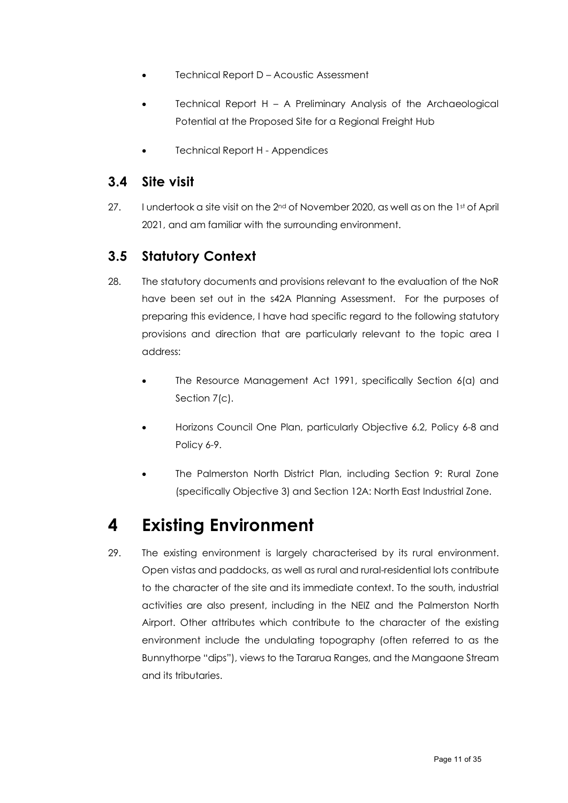- Technical Report D Acoustic Assessment
- Technical Report H A Preliminary Analysis of the Archaeological Potential at the Proposed Site for a Regional Freight Hub
- Technical Report H Appendices

#### <span id="page-10-0"></span>**3.4 Site visit**

27. I undertook a site visit on the  $2<sup>nd</sup>$  of November 2020, as well as on the 1st of April 2021, and am familiar with the surrounding environment.

### <span id="page-10-1"></span>**3.5 Statutory Context**

- 28. The statutory documents and provisions relevant to the evaluation of the NoR have been set out in the s42A Planning Assessment. For the purposes of preparing this evidence, I have had specific regard to the following statutory provisions and direction that are particularly relevant to the topic area I address:
	- The Resource Management Act 1991, specifically Section 6(a) and Section 7(c).
	- Horizons Council One Plan, particularly Objective 6.2, Policy 6-8 and Policy 6-9.
	- The Palmerston North District Plan, including Section 9: Rural Zone (specifically Objective 3) and Section 12A: North East Industrial Zone.

## <span id="page-10-2"></span>**4 Existing Environment**

29. The existing environment is largely characterised by its rural environment. Open vistas and paddocks, as well as rural and rural-residential lots contribute to the character of the site and its immediate context. To the south, industrial activities are also present, including in the NEIZ and the Palmerston North Airport. Other attributes which contribute to the character of the existing environment include the undulating topography (often referred to as the Bunnythorpe "dips"), views to the Tararua Ranges, and the Mangaone Stream and its tributaries.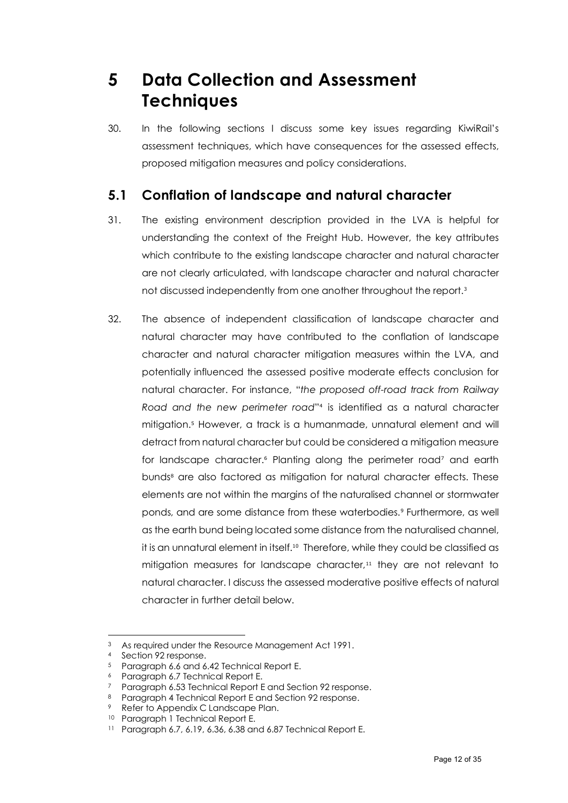# <span id="page-11-0"></span>**5 Data Collection and Assessment Techniques**

30. In the following sections I discuss some key issues regarding KiwiRail's assessment techniques, which have consequences for the assessed effects, proposed mitigation measures and policy considerations.

#### <span id="page-11-1"></span>**5.1 Conflation of landscape and natural character**

- 31. The existing environment description provided in the LVA is helpful for understanding the context of the Freight Hub. However, the key attributes which contribute to the existing landscape character and natural character are not clearly articulated, with landscape character and natural character not discussed independently from one another throughout the report. [3](#page-11-2)
- 32. The absence of independent classification of landscape character and natural character may have contributed to the conflation of landscape character and natural character mitigation measures within the LVA, and potentially influenced the assessed positive moderate effects conclusion for natural character. For instance, "*the proposed off-road track from Railway Road and the new perimeter road*"[4](#page-11-3) is identified as a natural character mitigation. [5](#page-11-4) However, a track is a humanmade, unnatural element and will detract from natural character but could be considered a mitigation measure for landscape character.<sup>[6](#page-11-5)</sup> Planting along the perimeter road<sup>[7](#page-11-6)</sup> and earth bunds<sup>[8](#page-11-7)</sup> are also factored as mitigation for natural character effects. These elements are not within the margins of the naturalised channel or stormwater ponds, and are some distance from these waterbodies.<sup>[9](#page-11-8)</sup> Furthermore, as well as the earth bund being located some distance from the naturalised channel, it is an unnatural element in itself.<sup>[10](#page-11-9)</sup> Therefore, while they could be classified as mitigation measures for landscape character,<sup>[11](#page-11-10)</sup> they are not relevant to natural character. I discuss the assessed moderative positive effects of natural character in further detail below.

<span id="page-11-2"></span><sup>3</sup> As required under the Resource Management Act 1991.

<span id="page-11-3"></span><sup>4</sup> Section 92 response.

<span id="page-11-4"></span><sup>5</sup> Paragraph 6.6 and 6.42 Technical Report E.

<span id="page-11-5"></span><sup>6</sup> Paragraph 6.7 Technical Report E.

<span id="page-11-6"></span><sup>7</sup> Paragraph 6.53 Technical Report E and Section 92 response.

<span id="page-11-7"></span><sup>8</sup> Paragraph 4 Technical Report E and Section 92 response.

<span id="page-11-9"></span><span id="page-11-8"></span><sup>&</sup>lt;sup>9</sup> Refer to Appendix C Landscape Plan.

<sup>10</sup> Paragraph 1 Technical Report E.

<span id="page-11-10"></span><sup>11</sup> Paragraph 6.7, 6.19, 6.36, 6.38 and 6.87 Technical Report E.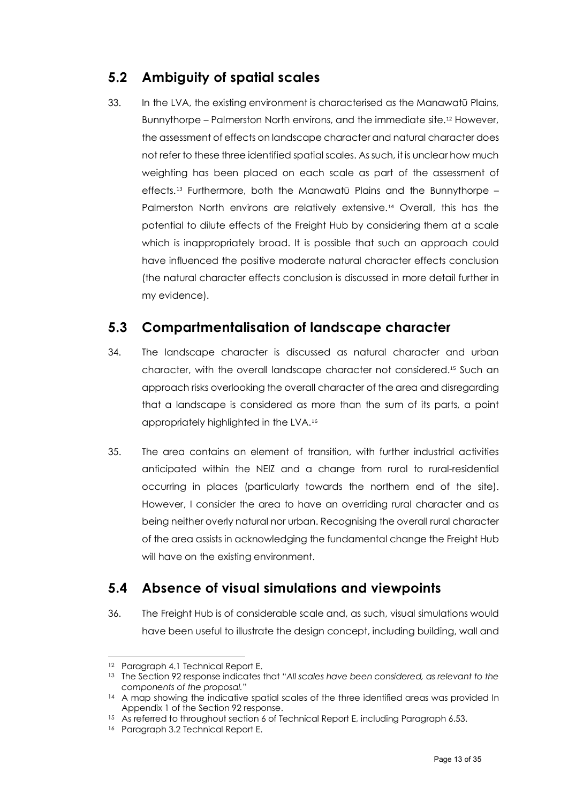### <span id="page-12-0"></span>**5.2 Ambiguity of spatial scales**

33. In the LVA, the existing environment is characterised as the Manawatū Plains, Bunnythorpe – Palmerston North environs, and the immediate site.<sup>[12](#page-12-3)</sup> However, the assessment of effects on landscape character and natural character does not refer to these three identified spatial scales. As such, it is unclear how much weighting has been placed on each scale as part of the assessment of effects.<sup>[13](#page-12-4)</sup> Furthermore, both the Manawatū Plains and the Bunnythorpe – Palmerston North environs are relatively extensive.[14](#page-12-5) Overall, this has the potential to dilute effects of the Freight Hub by considering them at a scale which is inappropriately broad. It is possible that such an approach could have influenced the positive moderate natural character effects conclusion (the natural character effects conclusion is discussed in more detail further in my evidence).

#### <span id="page-12-1"></span>**5.3 Compartmentalisation of landscape character**

- 34. The landscape character is discussed as natural character and urban character, with the overall landscape character not considered.[15](#page-12-6) Such an approach risks overlooking the overall character of the area and disregarding that a landscape is considered as more than the sum of its parts, a point appropriately highlighted in the LVA. [16](#page-12-7)
- 35. The area contains an element of transition, with further industrial activities anticipated within the NEIZ and a change from rural to rural-residential occurring in places (particularly towards the northern end of the site). However, I consider the area to have an overriding rural character and as being neither overly natural nor urban. Recognising the overall rural character of the area assists in acknowledging the fundamental change the Freight Hub will have on the existing environment.

## <span id="page-12-2"></span>**5.4 Absence of visual simulations and viewpoints**

36. The Freight Hub is of considerable scale and, as such, visual simulations would have been useful to illustrate the design concept, including building, wall and

<span id="page-12-3"></span><sup>12</sup> Paragraph 4.1 Technical Report E.

<span id="page-12-4"></span><sup>13</sup> The Section 92 response indicates that "*All scales have been considered, as relevant to the components of the proposal.*"

<span id="page-12-5"></span><sup>14</sup> A map showing the indicative spatial scales of the three identified areas was provided In Appendix 1 of the Section 92 response.

<span id="page-12-7"></span><span id="page-12-6"></span><sup>15</sup> As referred to throughout section 6 of Technical Report E, including Paragraph 6.53.

<sup>&</sup>lt;sup>16</sup> Paragraph 3.2 Technical Report E.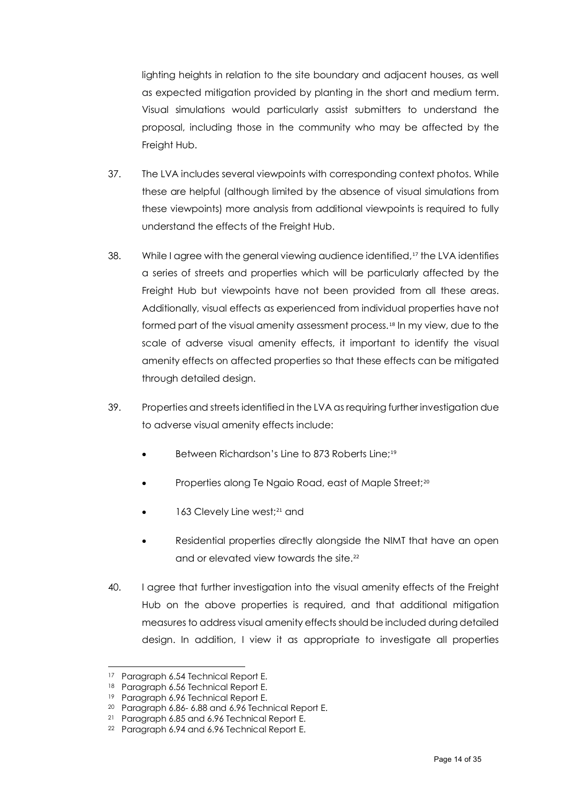lighting heights in relation to the site boundary and adjacent houses, as well as expected mitigation provided by planting in the short and medium term. Visual simulations would particularly assist submitters to understand the proposal, including those in the community who may be affected by the Freight Hub.

- 37. The LVA includes several viewpoints with corresponding context photos. While these are helpful (although limited by the absence of visual simulations from these viewpoints) more analysis from additional viewpoints is required to fully understand the effects of the Freight Hub.
- 38. While I agree with the general viewing audience identified,<sup>[17](#page-13-0)</sup> the LVA identifies a series of streets and properties which will be particularly affected by the Freight Hub but viewpoints have not been provided from all these areas. Additionally, visual effects as experienced from individual properties have not formed part of the visual amenity assessment process.<sup>[18](#page-13-1)</sup> In my view, due to the scale of adverse visual amenity effects, it important to identify the visual amenity effects on affected properties so that these effects can be mitigated through detailed design.
- 39. Properties and streets identified in the LVA as requiring further investigation due to adverse visual amenity effects include:
	- Between Richardson's Line to 873 Roberts Line;<sup>[19](#page-13-2)</sup>
	- Properties along Te Ngaio Road, east of Maple Street;<sup>[20](#page-13-3)</sup>
	- 163 Clevely Line west;<sup>[21](#page-13-4)</sup> and
	- Residential properties directly alongside the NIMT that have an open and or elevated view towards the site.<sup>[22](#page-13-5)</sup>
- 40. I agree that further investigation into the visual amenity effects of the Freight Hub on the above properties is required, and that additional mitigation measures to address visual amenity effects should be included during detailed design. In addition, I view it as appropriate to investigate all properties

<span id="page-13-0"></span><sup>&</sup>lt;sup>17</sup> Paragraph 6.54 Technical Report E.

<span id="page-13-1"></span><sup>18</sup> Paragraph 6.56 Technical Report E.

<span id="page-13-2"></span><sup>19</sup> Paragraph 6.96 Technical Report E.

<sup>20</sup> Paragraph 6.86- 6.88 and 6.96 Technical Report E.

<span id="page-13-5"></span><span id="page-13-4"></span><span id="page-13-3"></span><sup>21</sup> Paragraph 6.85 and 6.96 Technical Report E.

<sup>22</sup> Paragraph 6.94 and 6.96 Technical Report E.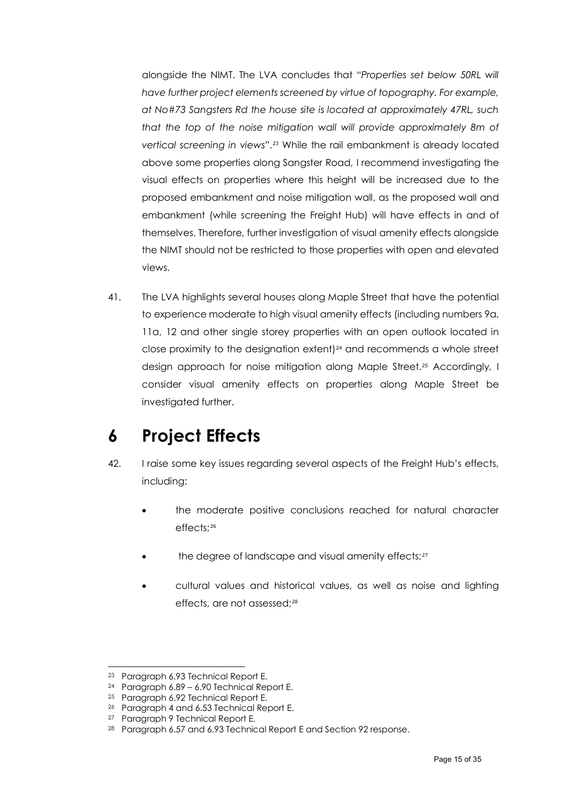alongside the NIMT. The LVA concludes that "*Properties set below 50RL will have further project elements screened by virtue of topography. For example, at No#73 Sangsters Rd the house site is located at approximately 47RL, such that the top of the noise mitigation wall will provide approximately 8m of vertical screening in views*".[23](#page-14-1) While the rail embankment is already located above some properties along Sangster Road, I recommend investigating the visual effects on properties where this height will be increased due to the proposed embankment and noise mitigation wall, as the proposed wall and embankment (while screening the Freight Hub) will have effects in and of themselves. Therefore, further investigation of visual amenity effects alongside the NIMT should not be restricted to those properties with open and elevated views.

41. The LVA highlights several houses along Maple Street that have the potential to experience moderate to high visual amenity effects (including numbers 9a, 11a, 12 and other single storey properties with an open outlook located in close proximity to the designation extent)<sup>[24](#page-14-2)</sup> and recommends a whole street design approach for noise mitigation along Maple Street.<sup>[25](#page-14-3)</sup> Accordingly, I consider visual amenity effects on properties along Maple Street be investigated further.

## <span id="page-14-0"></span>**6 Project Effects**

- 42. I raise some key issues regarding several aspects of the Freight Hub's effects, including:
	- the moderate positive conclusions reached for natural character effects;<sup>[26](#page-14-4)</sup>
	- the degree of landscape and visual amenity effects;<sup>[27](#page-14-5)</sup>
	- cultural values and historical values, as well as noise and lighting effects, are not assessed; [28](#page-14-6)

<span id="page-14-1"></span><sup>23</sup> Paragraph 6.93 Technical Report E.

<span id="page-14-2"></span><sup>24</sup> Paragraph 6.89 – 6.90 Technical Report E.

<span id="page-14-3"></span><sup>25</sup> Paragraph 6.92 Technical Report E.

<span id="page-14-4"></span><sup>26</sup> Paragraph 4 and 6.53 Technical Report E.

<span id="page-14-6"></span><span id="page-14-5"></span><sup>27</sup> Paragraph 9 Technical Report E.

<sup>&</sup>lt;sup>28</sup> Paragraph 6.57 and 6.93 Technical Report E and Section 92 response.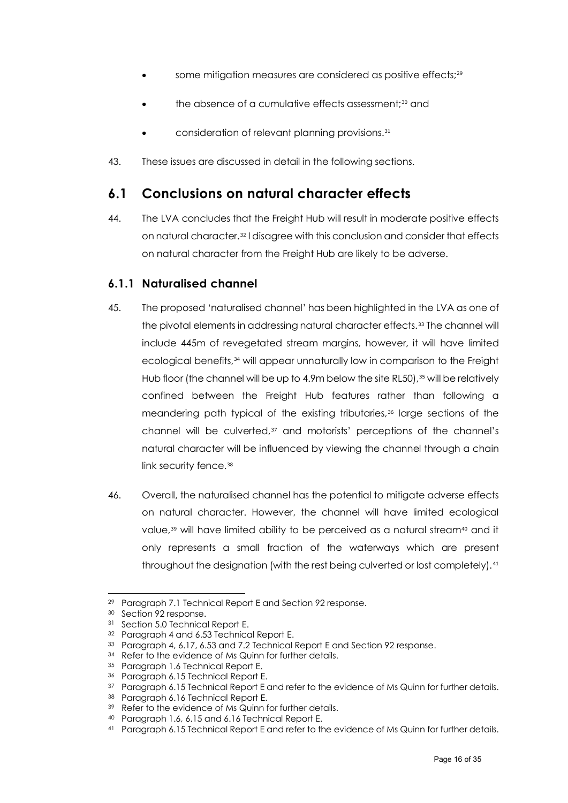- some mitigation measures are considered as positive effects;<sup>[29](#page-15-2)</sup>
- the absence of a cumulative effects assessment;<sup>[30](#page-15-3)</sup> and
- consideration of relevant planning provisions.<sup>[31](#page-15-4)</sup>
- 43. These issues are discussed in detail in the following sections.

#### <span id="page-15-0"></span>**6.1 Conclusions on natural character effects**

44. The LVA concludes that the Freight Hub will result in moderate positive effects on natural character.[32](#page-15-5) I disagree with this conclusion and consider that effects on natural character from the Freight Hub are likely to be adverse.

#### <span id="page-15-1"></span>**6.1.1 Naturalised channel**

- 45. The proposed 'naturalised channel' has been highlighted in the LVA as one of the pivotal elements in addressing natural character effects.[33](#page-15-6) The channel will include 445m of revegetated stream margins, however, it will have limited ecological benefits,[34](#page-15-7) will appear unnaturally low in comparison to the Freight Hub floor (the channel will be up to 4.9m below the site RL50),  $35$  will be relatively confined between the Freight Hub features rather than following a meandering path typical of the existing tributaries,[36](#page-15-9) large sections of the channel will be culverted,[37](#page-15-10) and motorists' perceptions of the channel's natural character will be influenced by viewing the channel through a chain link security fence.<sup>[38](#page-15-11)</sup>
- 46. Overall, the naturalised channel has the potential to mitigate adverse effects on natural character. However, the channel will have limited ecological value,<sup>[39](#page-15-12)</sup> will have limited ability to be perceived as a natural stream<sup>[40](#page-15-13)</sup> and it only represents a small fraction of the waterways which are present throughout the designation (with the rest being culverted or lost completely).<sup>[41](#page-15-14)</sup>

<span id="page-15-2"></span><sup>29</sup> Paragraph 7.1 Technical Report E and Section 92 response.

<span id="page-15-3"></span><sup>30</sup> Section 92 response.

<span id="page-15-4"></span><sup>31</sup> Section 5.0 Technical Report E.

<span id="page-15-5"></span><sup>32</sup> Paragraph 4 and 6.53 Technical Report E.

<span id="page-15-6"></span><sup>33</sup> Paragraph 4, 6.17, 6.53 and 7.2 Technical Report E and Section 92 response.

<span id="page-15-7"></span><sup>34</sup> Refer to the evidence of Ms Quinn for further details.

<span id="page-15-8"></span><sup>35</sup> Paragraph 1.6 Technical Report E.

<span id="page-15-9"></span><sup>36</sup> Paragraph 6.15 Technical Report E.

<span id="page-15-10"></span><sup>37</sup> Paragraph 6.15 Technical Report E and refer to the evidence of Ms Quinn for further details.

<span id="page-15-12"></span><span id="page-15-11"></span><sup>38</sup> Paragraph 6.16 Technical Report E.

<sup>&</sup>lt;sup>39</sup> Refer to the evidence of Ms Quinn for further details.

<span id="page-15-13"></span><sup>40</sup> Paragraph 1.6, 6.15 and 6.16 Technical Report E.

<span id="page-15-14"></span><sup>41</sup> Paragraph 6.15 Technical Report E and refer to the evidence of Ms Quinn for further details.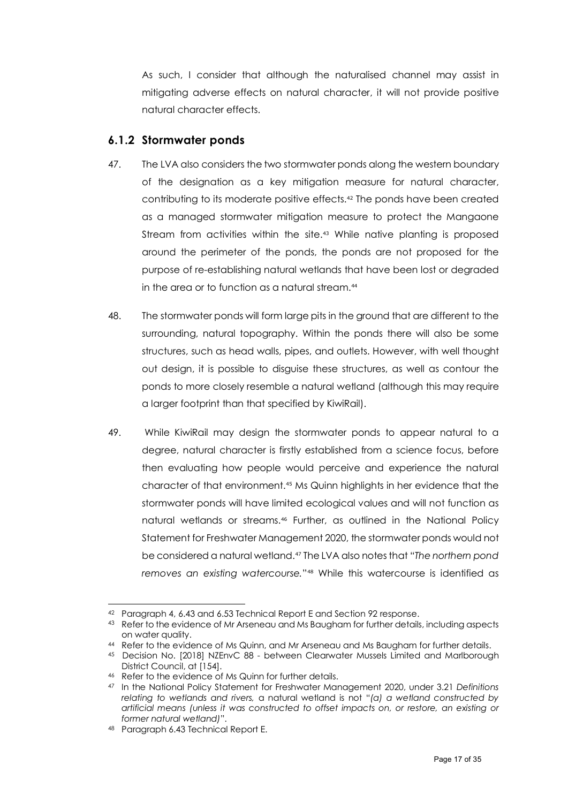As such, I consider that although the naturalised channel may assist in mitigating adverse effects on natural character, it will not provide positive natural character effects.

#### <span id="page-16-0"></span>**6.1.2 Stormwater ponds**

- 47. The LVA also considers the two stormwater ponds along the western boundary of the designation as a key mitigation measure for natural character, contributing to its moderate positive effects. [42](#page-16-1) The ponds have been created as a managed stormwater mitigation measure to protect the Mangaone Stream from activities within the site.<sup>[43](#page-16-2)</sup> While native planting is proposed around the perimeter of the ponds, the ponds are not proposed for the purpose of re-establishing natural wetlands that have been lost or degraded in the area or to function as a natural stream.<sup>[44](#page-16-3)</sup>
- 48. The stormwater ponds will form large pits in the ground that are different to the surrounding, natural topography. Within the ponds there will also be some structures, such as head walls, pipes, and outlets. However, with well thought out design, it is possible to disguise these structures, as well as contour the ponds to more closely resemble a natural wetland (although this may require a larger footprint than that specified by KiwiRail).
- 49. While KiwiRail may design the stormwater ponds to appear natural to a degree, natural character is firstly established from a science focus, before then evaluating how people would perceive and experience the natural character of that environment.[45](#page-16-4) Ms Quinn highlights in her evidence that the stormwater ponds will have limited ecological values and will not function as natural wetlands or streams.[46](#page-16-5) Further, as outlined in the National Policy Statement for Freshwater Management 2020, the stormwater ponds would not be considered a natural wetland.[47](#page-16-6) The LVA also notes that "*The northern pond removes an existing watercourse.*"[48](#page-16-7) While this watercourse is identified as

<span id="page-16-1"></span><sup>42</sup> Paragraph 4, 6.43 and 6.53 Technical Report E and Section 92 response.

<span id="page-16-2"></span><sup>43</sup> Refer to the evidence of Mr Arseneau and Ms Baugham for further details, including aspects on water quality.

<span id="page-16-3"></span><sup>44</sup> Refer to the evidence of Ms Quinn, and Mr Arseneau and Ms Baugham for further details.

<span id="page-16-4"></span><sup>45</sup> Decision No. [2018] NZEnvC 88 - between Clearwater Mussels Limited and Marlborough District Council, at [154].

<span id="page-16-5"></span><sup>46</sup> Refer to the evidence of Ms Quinn for further details.

<span id="page-16-6"></span><sup>47</sup> In the National Policy Statement for Freshwater Management 2020, under 3.21 *Definitions relating to wetlands and rivers,* a natural wetland is not "*(a) a wetland constructed by artificial means (unless it was constructed to offset impacts on, or restore, an existing or former natural wetland)*".

<span id="page-16-7"></span><sup>48</sup> Paragraph 6.43 Technical Report E.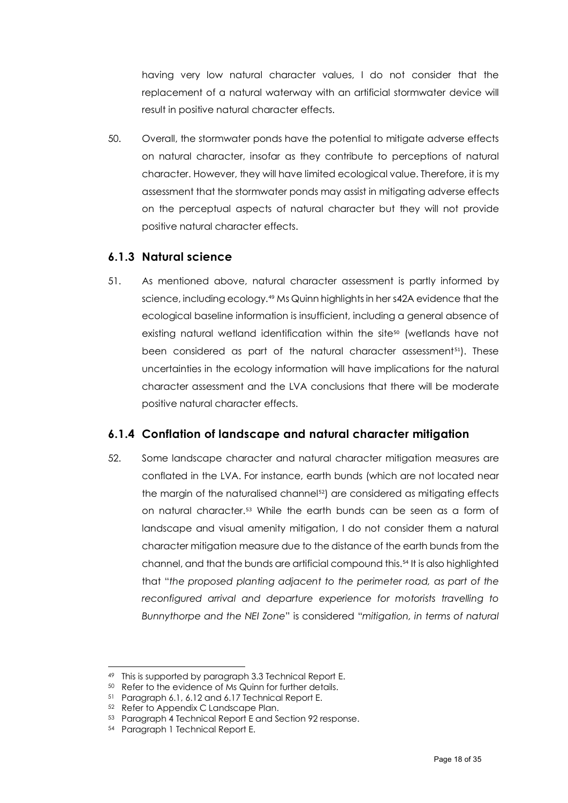having very low natural character values, I do not consider that the replacement of a natural waterway with an artificial stormwater device will result in positive natural character effects.

50. Overall, the stormwater ponds have the potential to mitigate adverse effects on natural character, insofar as they contribute to perceptions of natural character. However, they will have limited ecological value. Therefore, it is my assessment that the stormwater ponds may assist in mitigating adverse effects on the perceptual aspects of natural character but they will not provide positive natural character effects.

#### <span id="page-17-0"></span>**6.1.3 Natural science**

51. As mentioned above, natural character assessment is partly informed by science, including ecology.[49](#page-17-2) Ms Quinn highlights in her s42A evidence that the ecological baseline information is insufficient, including a general absence of existing natural wetland identification within the site<sup>[50](#page-17-3)</sup> (wetlands have not been considered as part of the natural character assessment<sup>[51](#page-17-4)</sup>). These uncertainties in the ecology information will have implications for the natural character assessment and the LVA conclusions that there will be moderate positive natural character effects.

#### <span id="page-17-1"></span>**6.1.4 Conflation of landscape and natural character mitigation**

52. Some landscape character and natural character mitigation measures are conflated in the LVA. For instance, earth bunds (which are not located near the margin of the naturalised channel<sup>[52](#page-17-5)</sup>) are considered as mitigating effects on natural character.[53](#page-17-6) While the earth bunds can be seen as a form of landscape and visual amenity mitigation, I do not consider them a natural character mitigation measure due to the distance of the earth bunds from the channel, and that the bunds are artificial compound this. [54](#page-17-7) It is also highlighted that "*the proposed planting adjacent to the perimeter road, as part of the reconfigured arrival and departure experience for motorists travelling to Bunnythorpe and the NEI Zone*" is considered "*mitigation, in terms of natural* 

<sup>49</sup> This is supported by paragraph 3.3 Technical Report E.

<span id="page-17-3"></span><span id="page-17-2"></span><sup>50</sup> Refer to the evidence of Ms Quinn for further details.

<span id="page-17-5"></span><span id="page-17-4"></span><sup>51</sup> Paragraph 6.1, 6.12 and 6.17 Technical Report E.

<sup>52</sup> Refer to Appendix C Landscape Plan.

<span id="page-17-6"></span><sup>53</sup> Paragraph 4 Technical Report E and Section 92 response.

<span id="page-17-7"></span><sup>54</sup> Paragraph 1 Technical Report E.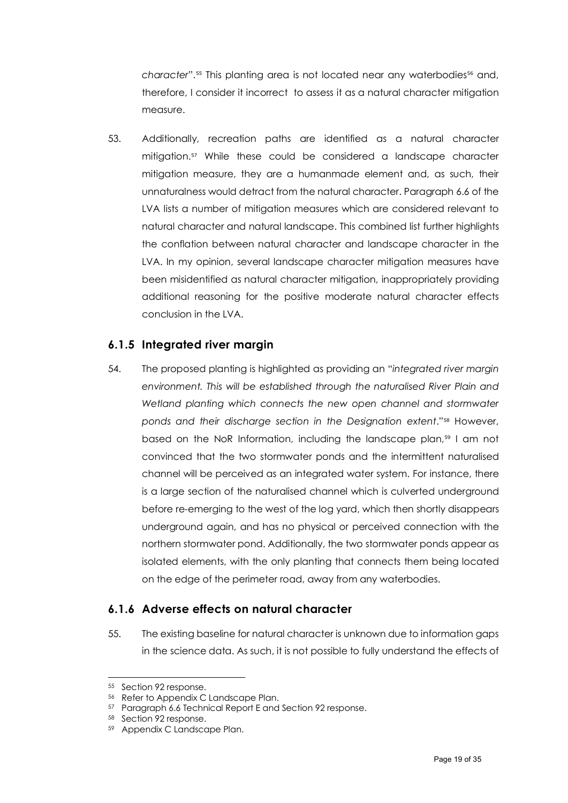character".<sup>[55](#page-18-2)</sup> This planting area is not located near any waterbodies<sup>[56](#page-18-3)</sup> and, therefore, I consider it incorrect to assess it as a natural character mitigation measure.

53. Additionally, recreation paths are identified as a natural character mitigation.[57](#page-18-4) While these could be considered a landscape character mitigation measure, they are a humanmade element and, as such, their unnaturalness would detract from the natural character. Paragraph 6.6 of the LVA lists a number of mitigation measures which are considered relevant to natural character and natural landscape. This combined list further highlights the conflation between natural character and landscape character in the LVA. In my opinion, several landscape character mitigation measures have been misidentified as natural character mitigation, inappropriately providing additional reasoning for the positive moderate natural character effects conclusion in the LVA.

#### <span id="page-18-0"></span>**6.1.5 Integrated river margin**

54. The proposed planting is highlighted as providing an "*integrated river margin environment. This will be established through the naturalised River Plain and Wetland planting which connects the new open channel and stormwater ponds and their discharge section in the Designation extent*."[58](#page-18-5) However, based on the NoR Information, including the landscape plan,<sup>[59](#page-18-6)</sup> I am not convinced that the two stormwater ponds and the intermittent naturalised channel will be perceived as an integrated water system. For instance, there is a large section of the naturalised channel which is culverted underground before re-emerging to the west of the log yard, which then shortly disappears underground again, and has no physical or perceived connection with the northern stormwater pond. Additionally, the two stormwater ponds appear as isolated elements, with the only planting that connects them being located on the edge of the perimeter road, away from any waterbodies.

#### <span id="page-18-1"></span>**6.1.6 Adverse effects on natural character**

55. The existing baseline for natural character is unknown due to information gaps in the science data. As such, it is not possible to fully understand the effects of

<span id="page-18-2"></span><sup>55</sup> Section 92 response.

<span id="page-18-3"></span><sup>56</sup> Refer to Appendix C Landscape Plan.

<span id="page-18-4"></span><sup>57</sup> Paragraph 6.6 Technical Report E and Section 92 response.

<span id="page-18-5"></span><sup>58</sup> Section 92 response.

<span id="page-18-6"></span><sup>59</sup> Appendix C Landscape Plan.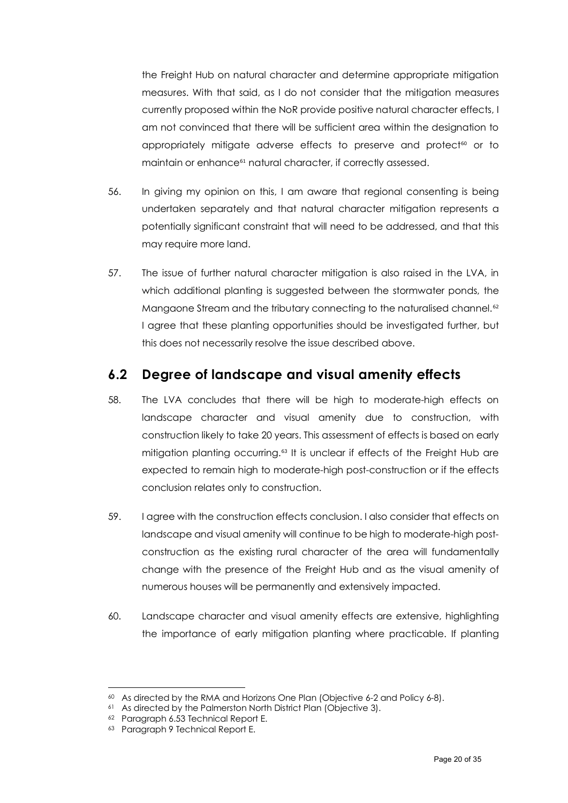the Freight Hub on natural character and determine appropriate mitigation measures. With that said, as I do not consider that the mitigation measures currently proposed within the NoR provide positive natural character effects, I am not convinced that there will be sufficient area within the designation to appropriately mitigate adverse effects to preserve and protect<sup>[60](#page-19-1)</sup> or to maintain or enhance<sup>[61](#page-19-2)</sup> natural character, if correctly assessed.

- 56. In giving my opinion on this, I am aware that regional consenting is being undertaken separately and that natural character mitigation represents a potentially significant constraint that will need to be addressed, and that this may require more land.
- 57. The issue of further natural character mitigation is also raised in the LVA, in which additional planting is suggested between the stormwater ponds, the Mangaone Stream and the tributary connecting to the naturalised channel.<sup>[62](#page-19-3)</sup> I agree that these planting opportunities should be investigated further, but this does not necessarily resolve the issue described above.

#### <span id="page-19-0"></span>**6.2 Degree of landscape and visual amenity effects**

- 58. The LVA concludes that there will be high to moderate-high effects on landscape character and visual amenity due to construction, with construction likely to take 20 years. This assessment of effects is based on early mitigation planting occurring.<sup>53</sup> It is unclear if effects of the Freight Hub are expected to remain high to moderate-high post-construction or if the effects conclusion relates only to construction.
- 59. I agree with the construction effects conclusion. I also consider that effects on landscape and visual amenity will continue to be high to moderate-high postconstruction as the existing rural character of the area will fundamentally change with the presence of the Freight Hub and as the visual amenity of numerous houses will be permanently and extensively impacted.
- 60. Landscape character and visual amenity effects are extensive, highlighting the importance of early mitigation planting where practicable. If planting

<span id="page-19-1"></span><sup>60</sup> As directed by the RMA and Horizons One Plan (Objective 6-2 and Policy 6-8).

<span id="page-19-2"></span><sup>61</sup> As directed by the Palmerston North District Plan (Objective 3).

<span id="page-19-3"></span><sup>62</sup> Paragraph 6.53 Technical Report E.

<span id="page-19-4"></span><sup>63</sup> Paragraph 9 Technical Report E.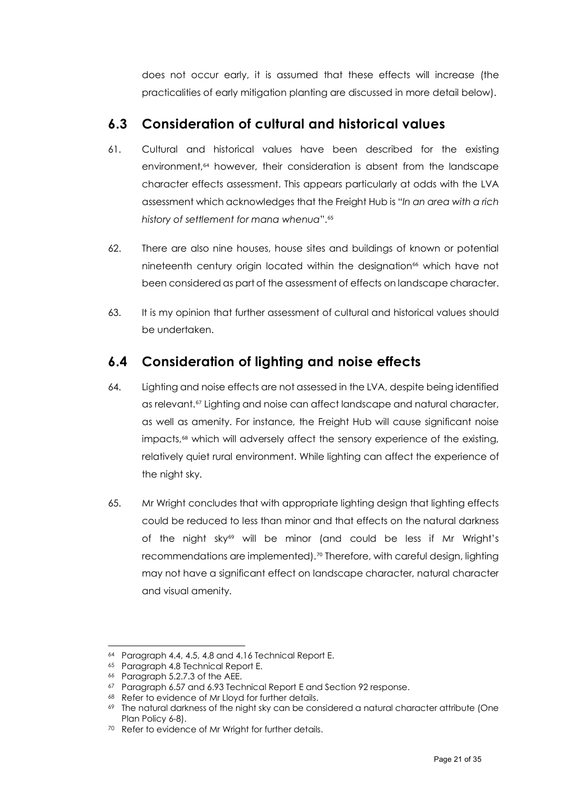does not occur early, it is assumed that these effects will increase (the practicalities of early mitigation planting are discussed in more detail below).

#### <span id="page-20-0"></span>**6.3 Consideration of cultural and historical values**

- 61. Cultural and historical values have been described for the existing environment,[64](#page-20-2) however, their consideration is absent from the landscape character effects assessment. This appears particularly at odds with the LVA assessment which acknowledges that the Freight Hub is "*In an area with a rich history of settlement for mana whenua*".[65](#page-20-3)
- 62. There are also nine houses, house sites and buildings of known or potential nineteenth century origin located within the designation<sup>[66](#page-20-4)</sup> which have not been considered as part of the assessment of effects on landscape character.
- 63. It is my opinion that further assessment of cultural and historical values should be undertaken.

### <span id="page-20-1"></span>**6.4 Consideration of lighting and noise effects**

- 64. Lighting and noise effects are not assessed in the LVA, despite being identified as relevant. [67](#page-20-5) Lighting and noise can affect landscape and natural character, as well as amenity. For instance, the Freight Hub will cause significant noise impacts, [68](#page-20-6) which will adversely affect the sensory experience of the existing, relatively quiet rural environment. While lighting can affect the experience of the night sky.
- 65. Mr Wright concludes that with appropriate lighting design that lighting effects could be reduced to less than minor and that effects on the natural darkness of the night sky[69](#page-20-7) will be minor (and could be less if Mr Wright's recommendations are implemented). [70](#page-20-8) Therefore, with careful design, lighting may not have a significant effect on landscape character, natural character and visual amenity.

<span id="page-20-2"></span><sup>64</sup> Paragraph 4.4, 4.5, 4.8 and 4.16 Technical Report E.

<span id="page-20-3"></span><sup>65</sup> Paragraph 4.8 Technical Report E.

<sup>66</sup> Paragraph 5.2.7.3 of the AEE.

<span id="page-20-5"></span><span id="page-20-4"></span><sup>67</sup> Paragraph 6.57 and 6.93 Technical Report E and Section 92 response.

<span id="page-20-7"></span><span id="page-20-6"></span><sup>68</sup> Refer to evidence of Mr Lloyd for further details.

<sup>&</sup>lt;sup>69</sup> The natural darkness of the night sky can be considered a natural character attribute (One Plan Policy 6-8).

<span id="page-20-8"></span><sup>70</sup> Refer to evidence of Mr Wright for further details.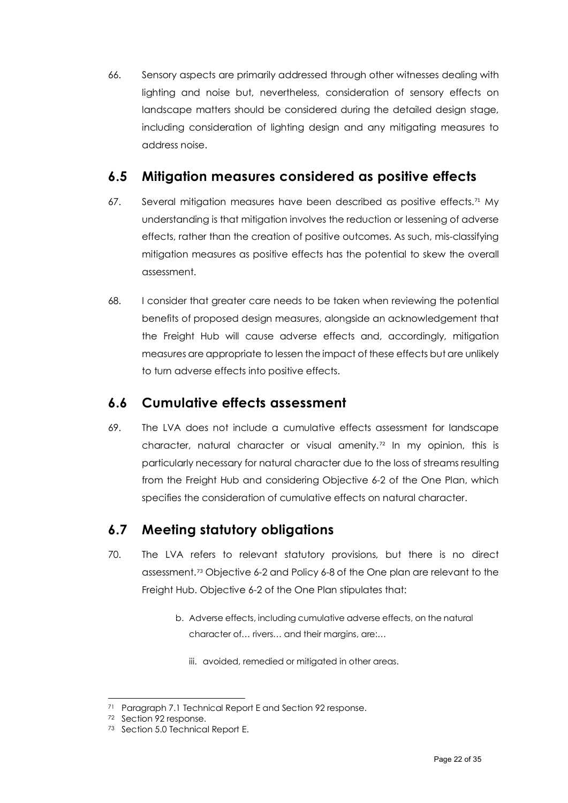66. Sensory aspects are primarily addressed through other witnesses dealing with lighting and noise but, nevertheless, consideration of sensory effects on landscape matters should be considered during the detailed design stage, including consideration of lighting design and any mitigating measures to address noise.

#### <span id="page-21-0"></span>**6.5 Mitigation measures considered as positive effects**

- 67. Several mitigation measures have been described as positive effects.<sup>[71](#page-21-3)</sup> My understanding is that mitigation involves the reduction or lessening of adverse effects, rather than the creation of positive outcomes. As such, mis-classifying mitigation measures as positive effects has the potential to skew the overall assessment.
- 68. I consider that greater care needs to be taken when reviewing the potential benefits of proposed design measures, alongside an acknowledgement that the Freight Hub will cause adverse effects and, accordingly, mitigation measures are appropriate to lessen the impact of these effects but are unlikely to turn adverse effects into positive effects.

#### <span id="page-21-1"></span>**6.6 Cumulative effects assessment**

69. The LVA does not include a cumulative effects assessment for landscape character, natural character or visual amenity.[72](#page-21-4) In my opinion, this is particularly necessary for natural character due to the loss of streams resulting from the Freight Hub and considering Objective 6-2 of the One Plan, which specifies the consideration of cumulative effects on natural character.

### <span id="page-21-2"></span>**6.7 Meeting statutory obligations**

- 70. The LVA refers to relevant statutory provisions, but there is no direct assessment.[73](#page-21-5) Objective 6-2 and Policy 6-8 of the One plan are relevant to the Freight Hub. Objective 6-2 of the One Plan stipulates that:
	- b. Adverse effects, including cumulative adverse effects, on the natural character of… rivers… and their margins, are:…
		- iii. avoided, remedied or mitigated in other areas.

<span id="page-21-3"></span><sup>71</sup> Paragraph 7.1 Technical Report E and Section 92 response.

<span id="page-21-4"></span><sup>72</sup> Section 92 response.

<span id="page-21-5"></span><sup>73</sup> Section 5.0 Technical Report E.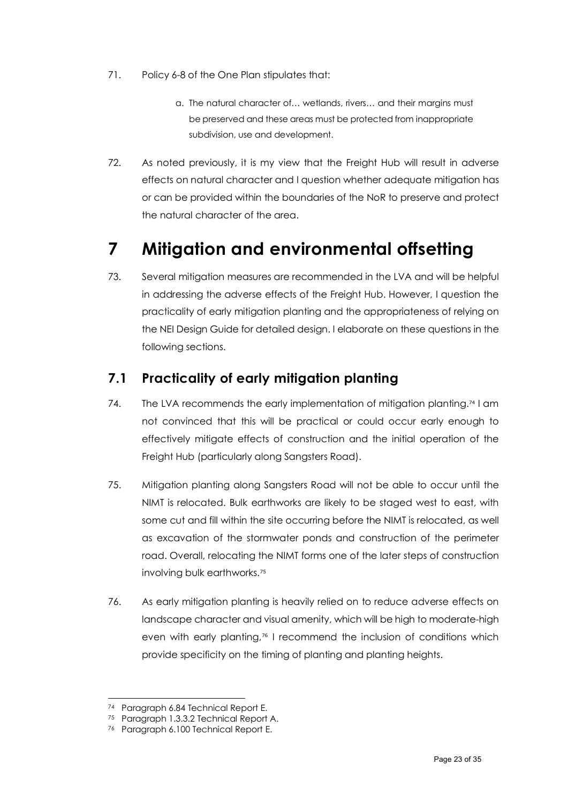- 71. Policy 6-8 of the One Plan stipulates that:
	- a. The natural character of… wetlands, rivers… and their margins must be preserved and these areas must be protected from inappropriate subdivision, use and development.
- 72. As noted previously, it is my view that the Freight Hub will result in adverse effects on natural character and I question whether adequate mitigation has or can be provided within the boundaries of the NoR to preserve and protect the natural character of the area.

# <span id="page-22-0"></span>**7 Mitigation and environmental offsetting**

73. Several mitigation measures are recommended in the LVA and will be helpful in addressing the adverse effects of the Freight Hub. However, I question the practicality of early mitigation planting and the appropriateness of relying on the NEI Design Guide for detailed design. I elaborate on these questions in the following sections.

### <span id="page-22-1"></span>**7.1 Practicality of early mitigation planting**

- 74. The LVA recommends the early implementation of mitigation planting.[74](#page-22-2) I am not convinced that this will be practical or could occur early enough to effectively mitigate effects of construction and the initial operation of the Freight Hub (particularly along Sangsters Road).
- 75. Mitigation planting along Sangsters Road will not be able to occur until the NIMT is relocated. Bulk earthworks are likely to be staged west to east, with some cut and fill within the site occurring before the NIMT is relocated, as well as excavation of the stormwater ponds and construction of the perimeter road. Overall, relocating the NIMT forms one of the later steps of construction involving bulk earthworks.[75](#page-22-3)
- 76. As early mitigation planting is heavily relied on to reduce adverse effects on landscape character and visual amenity, which will be high to moderate-high even with early planting,<sup>[76](#page-22-4)</sup> I recommend the inclusion of conditions which provide specificity on the timing of planting and planting heights.

<span id="page-22-2"></span><sup>74</sup> Paragraph 6.84 Technical Report E.

<span id="page-22-3"></span><sup>75</sup> Paragraph 1.3.3.2 Technical Report A.

<span id="page-22-4"></span><sup>76</sup> Paragraph 6.100 Technical Report E.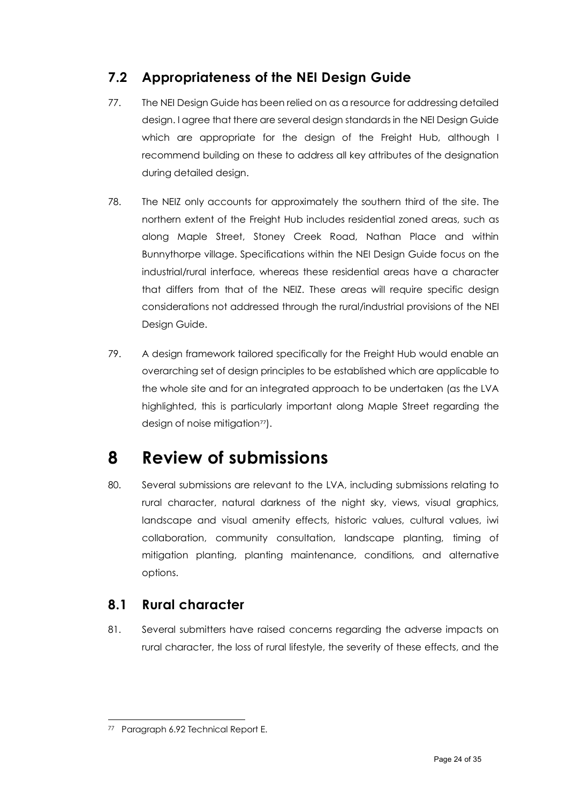### <span id="page-23-0"></span>**7.2 Appropriateness of the NEI Design Guide**

- 77. The NEI Design Guide has been relied on as a resource for addressing detailed design. I agree that there are several design standards in the NEI Design Guide which are appropriate for the design of the Freight Hub, although I recommend building on these to address all key attributes of the designation during detailed design.
- 78. The NEIZ only accounts for approximately the southern third of the site. The northern extent of the Freight Hub includes residential zoned areas, such as along Maple Street, Stoney Creek Road, Nathan Place and within Bunnythorpe village. Specifications within the NEI Design Guide focus on the industrial/rural interface, whereas these residential areas have a character that differs from that of the NEIZ. These areas will require specific design considerations not addressed through the rural/industrial provisions of the NEI Design Guide.
- 79. A design framework tailored specifically for the Freight Hub would enable an overarching set of design principles to be established which are applicable to the whole site and for an integrated approach to be undertaken (as the LVA highlighted, this is particularly important along Maple Street regarding the design of noise mitigation<sup>[77](#page-23-3)</sup>).

# <span id="page-23-1"></span>**8 Review of submissions**

80. Several submissions are relevant to the LVA, including submissions relating to rural character, natural darkness of the night sky, views, visual graphics, landscape and visual amenity effects, historic values, cultural values, iwi collaboration, community consultation, landscape planting, timing of mitigation planting, planting maintenance, conditions, and alternative options.

### <span id="page-23-2"></span>**8.1 Rural character**

81. Several submitters have raised concerns regarding the adverse impacts on rural character, the loss of rural lifestyle, the severity of these effects, and the

<span id="page-23-3"></span><sup>77</sup> Paragraph 6.92 Technical Report E.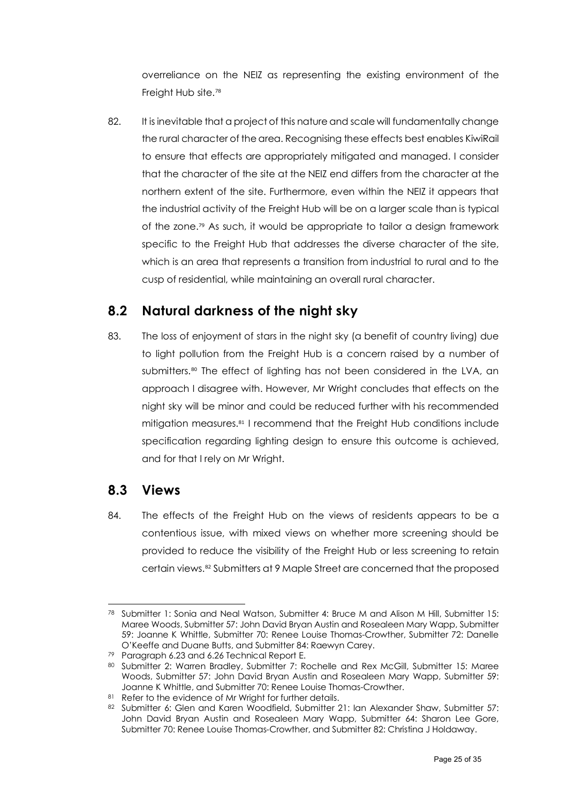overreliance on the NEIZ as representing the existing environment of the Freight Hub site. [78](#page-24-2)

82. It is inevitable that a project of this nature and scale will fundamentally change the rural character of the area. Recognising these effects best enables KiwiRail to ensure that effects are appropriately mitigated and managed. I consider that the character of the site at the NEIZ end differs from the character at the northern extent of the site. Furthermore, even within the NEIZ it appears that the industrial activity of the Freight Hub will be on a larger scale than is typical of the zone.[79](#page-24-3) As such, it would be appropriate to tailor a design framework specific to the Freight Hub that addresses the diverse character of the site, which is an area that represents a transition from industrial to rural and to the cusp of residential, while maintaining an overall rural character.

#### <span id="page-24-0"></span>**8.2 Natural darkness of the night sky**

83. The loss of enjoyment of stars in the night sky (a benefit of country living) due to light pollution from the Freight Hub is a concern raised by a number of submitters.<sup>[80](#page-24-4)</sup> The effect of lighting has not been considered in the LVA, an approach I disagree with. However, Mr Wright concludes that effects on the night sky will be minor and could be reduced further with his recommended mitigation measures. [81](#page-24-5) I recommend that the Freight Hub conditions include specification regarding lighting design to ensure this outcome is achieved, and for that I rely on Mr Wright.

#### <span id="page-24-1"></span>**8.3 Views**

84. The effects of the Freight Hub on the views of residents appears to be a contentious issue, with mixed views on whether more screening should be provided to reduce the visibility of the Freight Hub or less screening to retain certain views.[82](#page-24-6) Submitters at 9 Maple Street are concerned that the proposed

<span id="page-24-2"></span><sup>78</sup> Submitter 1: Sonia and Neal Watson, Submitter 4: Bruce M and Alison M Hill, Submitter 15: Maree Woods, Submitter 57: John David Bryan Austin and Rosealeen Mary Wapp, Submitter 59: Joanne K Whittle, Submitter 70: Renee Louise Thomas-Crowther, Submitter 72: Danelle O'Keeffe and Duane Butts, and Submitter 84: Raewyn Carey.

<span id="page-24-3"></span><sup>79</sup> Paragraph 6.23 and 6.26 Technical Report E.

<span id="page-24-4"></span><sup>80</sup> Submitter 2: Warren Bradley, Submitter 7: Rochelle and Rex McGill, Submitter 15: Maree Woods, Submitter 57: John David Bryan Austin and Rosealeen Mary Wapp, Submitter 59: Joanne K Whittle, and Submitter 70: Renee Louise Thomas-Crowther.

<span id="page-24-5"></span><sup>81</sup> Refer to the evidence of Mr Wright for further details.

<span id="page-24-6"></span><sup>82</sup> Submitter 6: Glen and Karen Woodfield, Submitter 21: Ian Alexander Shaw, Submitter 57: John David Bryan Austin and Rosealeen Mary Wapp, Submitter 64: Sharon Lee Gore, Submitter 70: Renee Louise Thomas-Crowther, and Submitter 82: Christina J Holdaway.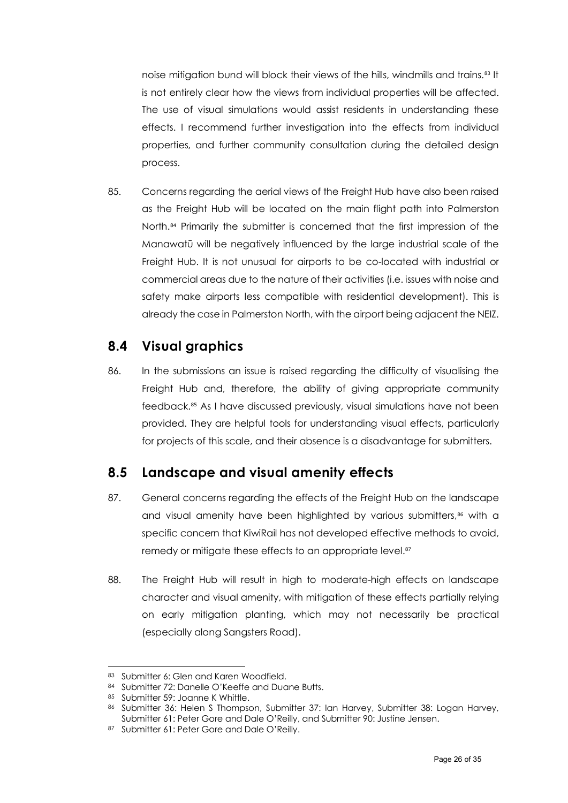noise mitigation bund will block their views of the hills, windmills and trains.<sup>[83](#page-25-2)</sup> It is not entirely clear how the views from individual properties will be affected. The use of visual simulations would assist residents in understanding these effects. I recommend further investigation into the effects from individual properties, and further community consultation during the detailed design process.

85. Concerns regarding the aerial views of the Freight Hub have also been raised as the Freight Hub will be located on the main flight path into Palmerston North. [84](#page-25-3) Primarily the submitter is concerned that the first impression of the Manawatū will be negatively influenced by the large industrial scale of the Freight Hub. It is not unusual for airports to be co-located with industrial or commercial areas due to the nature of their activities (i.e. issues with noise and safety make airports less compatible with residential development). This is already the case in Palmerston North, with the airport being adjacent the NEIZ.

#### <span id="page-25-0"></span>**8.4 Visual graphics**

86. In the submissions an issue is raised regarding the difficulty of visualising the Freight Hub and, therefore, the ability of giving appropriate community feedback.[85](#page-25-4) As I have discussed previously, visual simulations have not been provided. They are helpful tools for understanding visual effects, particularly for projects of this scale, and their absence is a disadvantage for submitters.

### <span id="page-25-1"></span>**8.5 Landscape and visual amenity effects**

- 87. General concerns regarding the effects of the Freight Hub on the landscape and visual amenity have been highlighted by various submitters, [86](#page-25-5) with a specific concern that KiwiRail has not developed effective methods to avoid, remedy or mitigate these effects to an appropriate level.<sup>[87](#page-25-6)</sup>
- 88. The Freight Hub will result in high to moderate-high effects on landscape character and visual amenity, with mitigation of these effects partially relying on early mitigation planting, which may not necessarily be practical (especially along Sangsters Road).

<sup>83</sup> Submitter 6: Glen and Karen Woodfield.

<span id="page-25-3"></span><span id="page-25-2"></span><sup>84</sup> Submitter 72: Danelle O'Keeffe and Duane Butts.

<span id="page-25-4"></span><sup>85</sup> Submitter 59: Joanne K Whittle.

<span id="page-25-5"></span><sup>86</sup> Submitter 36: Helen S Thompson, Submitter 37: Ian Harvey, Submitter 38: Logan Harvey, Submitter 61: Peter Gore and Dale O'Reilly, and Submitter 90: Justine Jensen.

<span id="page-25-6"></span><sup>87</sup> Submitter 61: Peter Gore and Dale O'Reilly.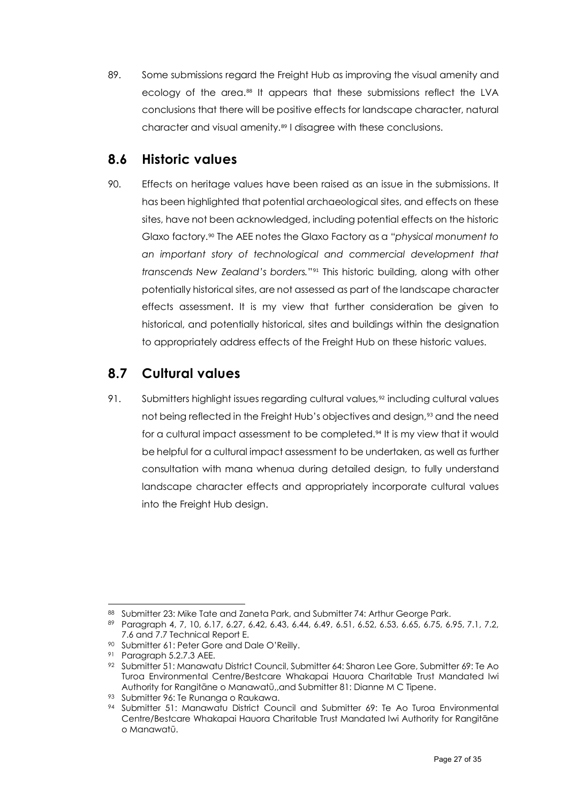89. Some submissions regard the Freight Hub as improving the visual amenity and ecology of the area.[88](#page-26-2) It appears that these submissions reflect the LVA conclusions that there will be positive effects for landscape character, natural character and visual amenity.[89](#page-26-3) I disagree with these conclusions.

### <span id="page-26-0"></span>**8.6 Historic values**

90. Effects on heritage values have been raised as an issue in the submissions. It has been highlighted that potential archaeological sites, and effects on these sites, have not been acknowledged, including potential effects on the historic Glaxo factory.[90](#page-26-4) The AEE notes the Glaxo Factory as a "*physical monument to an important story of technological and commercial development that transcends New Zealand's borders.*"[91](#page-26-5) This historic building, along with other potentially historical sites, are not assessed as part of the landscape character effects assessment. It is my view that further consideration be given to historical, and potentially historical, sites and buildings within the designation to appropriately address effects of the Freight Hub on these historic values.

#### <span id="page-26-1"></span>**8.7 Cultural values**

91. Submitters highlight issues regarding cultural values,<sup>[92](#page-26-6)</sup> including cultural values not being reflected in the Freight Hub's objectives and design,<sup>[93](#page-26-7)</sup> and the need for a cultural impact assessment to be completed.<sup>[94](#page-26-8)</sup> It is my view that it would be helpful for a cultural impact assessment to be undertaken, as well as further consultation with mana whenua during detailed design, to fully understand landscape character effects and appropriately incorporate cultural values into the Freight Hub design.

<span id="page-26-2"></span><sup>88</sup> Submitter 23: Mike Tate and Zaneta Park, and Submitter 74: Arthur George Park.

<span id="page-26-3"></span><sup>89</sup> Paragraph 4, 7, 10, 6.17, 6.27, 6.42, 6.43, 6.44, 6.49, 6.51, 6.52, 6.53, 6.65, 6.75, 6.95, 7.1, 7.2, 7.6 and 7.7 Technical Report E.

<span id="page-26-4"></span><sup>90</sup> Submitter 61: Peter Gore and Dale O'Reilly.

<span id="page-26-5"></span><sup>91</sup> Paragraph 5.2.7.3 AEE.

<span id="page-26-6"></span><sup>92</sup> Submitter 51: Manawatu District Council, Submitter 64: Sharon Lee Gore, Submitter 69: Te Ao Turoa Environmental Centre/Bestcare Whakapai Hauora Charitable Trust Mandated Iwi Authority for Rangitāne o Manawatū,,and Submitter 81: Dianne M C Tipene.

<span id="page-26-8"></span><span id="page-26-7"></span><sup>93</sup> Submitter 96: Te Runanga o Raukawa.

<sup>94</sup> Submitter 51: Manawatu District Council and Submitter 69: Te Ao Turoa Environmental Centre/Bestcare Whakapai Hauora Charitable Trust Mandated Iwi Authority for Rangitāne o Manawatū.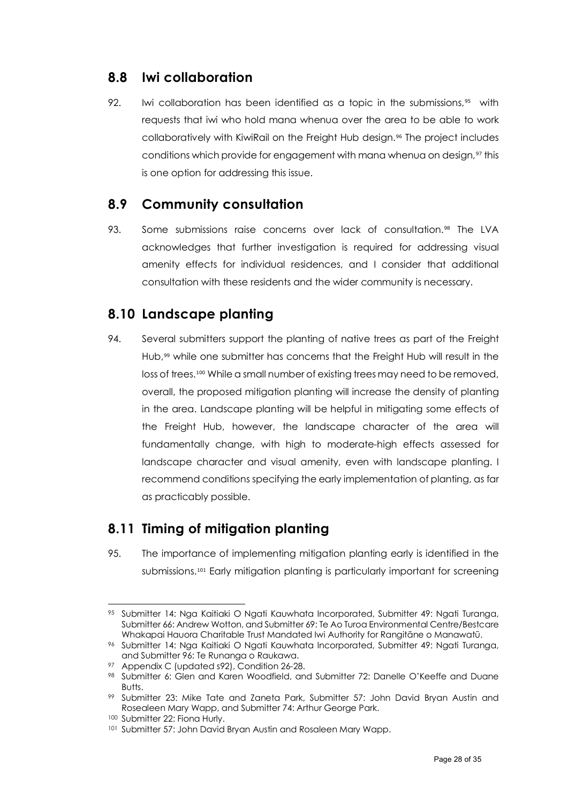#### <span id="page-27-0"></span>**8.8 Iwi collaboration**

92. Iwi collaboration has been identified as a topic in the submissions,<sup>[95](#page-27-4)</sup> with requests that iwi who hold mana whenua over the area to be able to work collaboratively with KiwiRail on the Freight Hub design.<sup>[96](#page-27-5)</sup> The project includes conditions which provide for engagement with mana whenua on design,<sup>[97](#page-27-6)</sup> this is one option for addressing this issue.

#### <span id="page-27-1"></span>**8.9 Community consultation**

93. Some submissions raise concerns over lack of consultation.<sup>[98](#page-27-7)</sup> The LVA acknowledges that further investigation is required for addressing visual amenity effects for individual residences, and I consider that additional consultation with these residents and the wider community is necessary.

#### <span id="page-27-2"></span>**8.10 Landscape planting**

94. Several submitters support the planting of native trees as part of the Freight Hub,<sup>[99](#page-27-8)</sup> while one submitter has concerns that the Freight Hub will result in the loss of trees.<sup>[100](#page-27-9)</sup> While a small number of existing trees may need to be removed, overall, the proposed mitigation planting will increase the density of planting in the area. Landscape planting will be helpful in mitigating some effects of the Freight Hub, however, the landscape character of the area will fundamentally change, with high to moderate-high effects assessed for landscape character and visual amenity, even with landscape planting. I recommend conditions specifying the early implementation of planting, as far as practicably possible.

#### <span id="page-27-3"></span>**8.11 Timing of mitigation planting**

95. The importance of implementing mitigation planting early is identified in the submissions.<sup>[101](#page-27-10)</sup> Early mitigation planting is particularly important for screening

<span id="page-27-4"></span><sup>95</sup> Submitter 14: Nga Kaitiaki O Ngati Kauwhata Incorporated, Submitter 49: Ngati Turanga, Submitter 66: Andrew Wotton, and Submitter 69: Te Ao Turoa Environmental Centre/Bestcare Whakapai Hauora Charitable Trust Mandated Iwi Authority for Rangitāne o Manawatū.

<span id="page-27-5"></span><sup>96</sup> Submitter 14: Nga Kaitiaki O Ngati Kauwhata Incorporated, Submitter 49: Ngati Turanga, and Submitter 96: Te Runanga o Raukawa.

<span id="page-27-6"></span><sup>97</sup> Appendix C (updated s92), Condition 26-28.

<span id="page-27-7"></span><sup>98</sup> Submitter 6: Glen and Karen Woodfield, and Submitter 72: Danelle O'Keeffe and Duane Butts.

<span id="page-27-8"></span><sup>99</sup> Submitter 23: Mike Tate and Zaneta Park, Submitter 57: John David Bryan Austin and Rosealeen Mary Wapp, and Submitter 74: Arthur George Park.

<span id="page-27-9"></span><sup>100</sup> Submitter 22: Fiona Hurly.

<span id="page-27-10"></span><sup>101</sup> Submitter 57: John David Bryan Austin and Rosaleen Mary Wapp.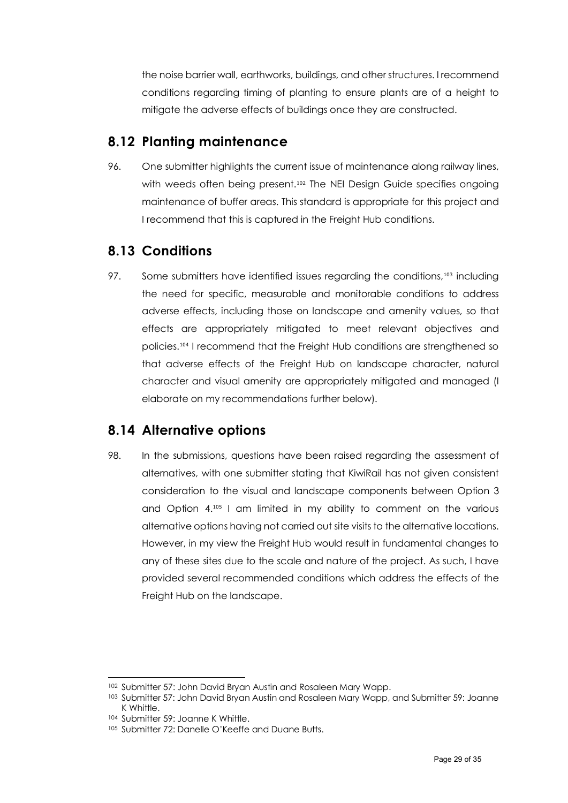the noise barrier wall, earthworks, buildings, and other structures. I recommend conditions regarding timing of planting to ensure plants are of a height to mitigate the adverse effects of buildings once they are constructed.

#### <span id="page-28-0"></span>**8.12 Planting maintenance**

96. One submitter highlights the current issue of maintenance along railway lines, with weeds often being present.<sup>[102](#page-28-3)</sup> The NEI Design Guide specifies ongoing maintenance of buffer areas. This standard is appropriate for this project and I recommend that this is captured in the Freight Hub conditions.

### <span id="page-28-1"></span>**8.13 Conditions**

97. Some submitters have identified issues regarding the conditions, [103](#page-28-4) including the need for specific, measurable and monitorable conditions to address adverse effects, including those on landscape and amenity values, so that effects are appropriately mitigated to meet relevant objectives and policies.[104](#page-28-5) I recommend that the Freight Hub conditions are strengthened so that adverse effects of the Freight Hub on landscape character, natural character and visual amenity are appropriately mitigated and managed (I elaborate on my recommendations further below).

### <span id="page-28-2"></span>**8.14 Alternative options**

98. In the submissions, questions have been raised regarding the assessment of alternatives, with one submitter stating that KiwiRail has not given consistent consideration to the visual and landscape components between Option 3 and Option  $4.105$  $4.105$  I am limited in my ability to comment on the various alternative options having not carried out site visits to the alternative locations. However, in my view the Freight Hub would result in fundamental changes to any of these sites due to the scale and nature of the project. As such, I have provided several recommended conditions which address the effects of the Freight Hub on the landscape.

<sup>102</sup> Submitter 57: John David Bryan Austin and Rosaleen Mary Wapp.

<span id="page-28-4"></span><span id="page-28-3"></span><sup>103</sup> Submitter 57: John David Bryan Austin and Rosaleen Mary Wapp, and Submitter 59: Joanne K Whittle.

<span id="page-28-5"></span><sup>104</sup> Submitter 59: Joanne K Whittle.

<span id="page-28-6"></span><sup>105</sup> Submitter 72: Danelle O'Keeffe and Duane Butts.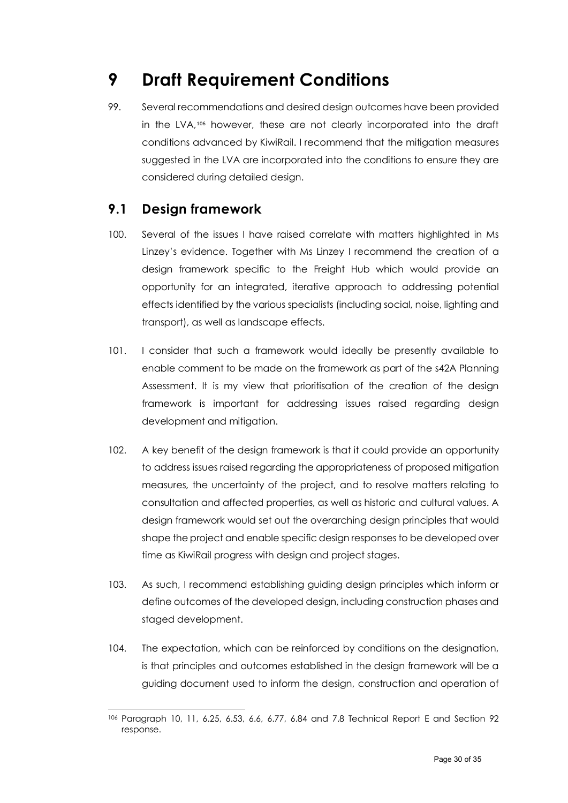## <span id="page-29-0"></span>**9 Draft Requirement Conditions**

99. Several recommendations and desired design outcomes have been provided in the LVA,[106](#page-29-2) however, these are not clearly incorporated into the draft conditions advanced by KiwiRail. I recommend that the mitigation measures suggested in the LVA are incorporated into the conditions to ensure they are considered during detailed design.

#### <span id="page-29-1"></span>**9.1 Design framework**

- 100. Several of the issues I have raised correlate with matters highlighted in Ms Linzey's evidence. Together with Ms Linzey I recommend the creation of a design framework specific to the Freight Hub which would provide an opportunity for an integrated, iterative approach to addressing potential effects identified by the various specialists (including social, noise, lighting and transport), as well as landscape effects.
- 101. I consider that such a framework would ideally be presently available to enable comment to be made on the framework as part of the s42A Planning Assessment. It is my view that prioritisation of the creation of the design framework is important for addressing issues raised regarding design development and mitigation.
- 102. A key benefit of the design framework is that it could provide an opportunity to address issues raised regarding the appropriateness of proposed mitigation measures, the uncertainty of the project, and to resolve matters relating to consultation and affected properties, as well as historic and cultural values. A design framework would set out the overarching design principles that would shape the project and enable specific design responses to be developed over time as KiwiRail progress with design and project stages.
- 103. As such, I recommend establishing guiding design principles which inform or define outcomes of the developed design, including construction phases and staged development.
- 104. The expectation, which can be reinforced by conditions on the designation, is that principles and outcomes established in the design framework will be a guiding document used to inform the design, construction and operation of

<span id="page-29-2"></span><sup>106</sup> Paragraph 10, 11, 6.25, 6.53, 6.6, 6.77, 6.84 and 7.8 Technical Report E and Section 92 response.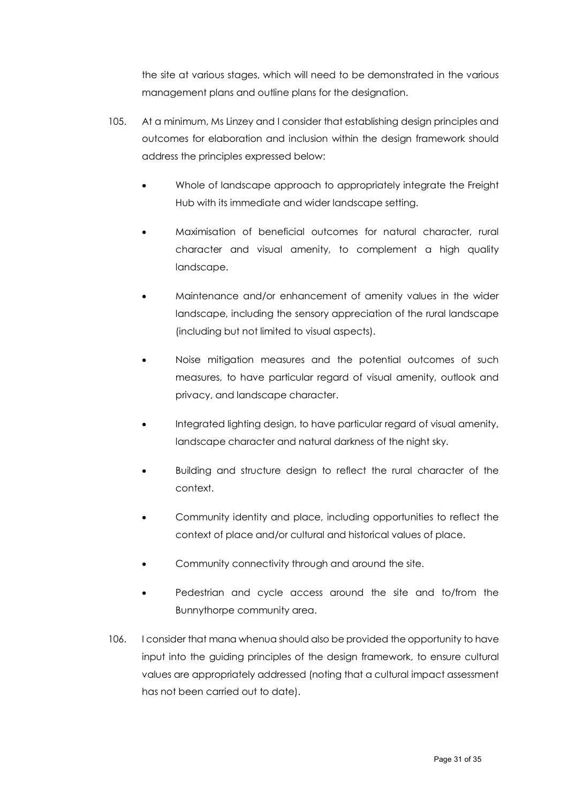the site at various stages, which will need to be demonstrated in the various management plans and outline plans for the designation.

- 105. At a minimum, Ms Linzey and I consider that establishing design principles and outcomes for elaboration and inclusion within the design framework should address the principles expressed below:
	- Whole of landscape approach to appropriately integrate the Freight Hub with its immediate and wider landscape setting.
	- Maximisation of beneficial outcomes for natural character, rural character and visual amenity, to complement a high quality landscape.
	- Maintenance and/or enhancement of amenity values in the wider landscape, including the sensory appreciation of the rural landscape (including but not limited to visual aspects).
	- Noise mitigation measures and the potential outcomes of such measures, to have particular regard of visual amenity, outlook and privacy, and landscape character.
	- Integrated lighting design, to have particular regard of visual amenity, landscape character and natural darkness of the night sky.
	- Building and structure design to reflect the rural character of the context.
	- Community identity and place, including opportunities to reflect the context of place and/or cultural and historical values of place.
	- Community connectivity through and around the site.
	- Pedestrian and cycle access around the site and to/from the Bunnythorpe community area.
- 106. I consider that mana whenua should also be provided the opportunity to have input into the guiding principles of the design framework, to ensure cultural values are appropriately addressed (noting that a cultural impact assessment has not been carried out to date).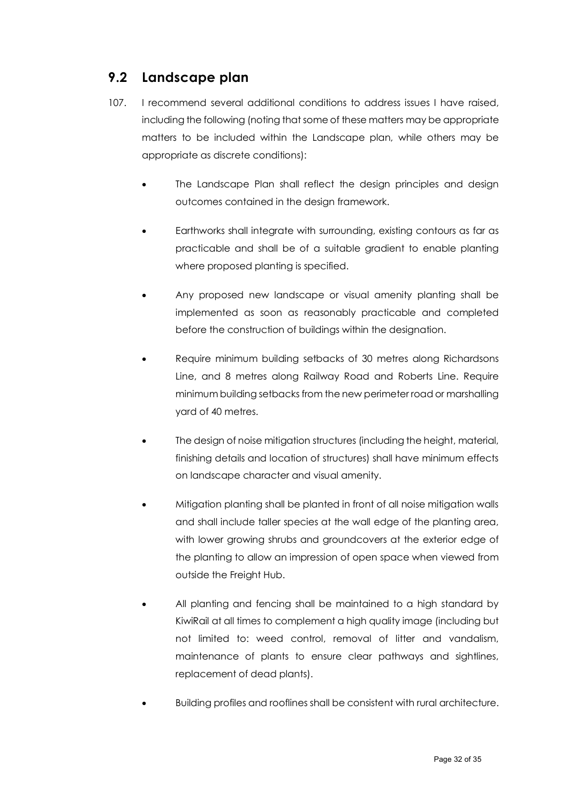### <span id="page-31-0"></span>**9.2 Landscape plan**

- 107. I recommend several additional conditions to address issues I have raised, including the following (noting that some of these matters may be appropriate matters to be included within the Landscape plan, while others may be appropriate as discrete conditions):
	- The Landscape Plan shall reflect the design principles and design outcomes contained in the design framework.
	- Earthworks shall integrate with surrounding, existing contours as far as practicable and shall be of a suitable gradient to enable planting where proposed planting is specified.
	- Any proposed new landscape or visual amenity planting shall be implemented as soon as reasonably practicable and completed before the construction of buildings within the designation.
	- Require minimum building setbacks of 30 metres along Richardsons Line, and 8 metres along Railway Road and Roberts Line. Require minimum building setbacks from the new perimeter road or marshalling yard of 40 metres.
	- The design of noise mitigation structures (including the height, material, finishing details and location of structures) shall have minimum effects on landscape character and visual amenity.
	- Mitigation planting shall be planted in front of all noise mitigation walls and shall include taller species at the wall edge of the planting area, with lower growing shrubs and groundcovers at the exterior edge of the planting to allow an impression of open space when viewed from outside the Freight Hub.
	- All planting and fencing shall be maintained to a high standard by KiwiRail at all times to complement a high quality image (including but not limited to: weed control, removal of litter and vandalism, maintenance of plants to ensure clear pathways and sightlines, replacement of dead plants).
	- Building profiles and rooflines shall be consistent with rural architecture.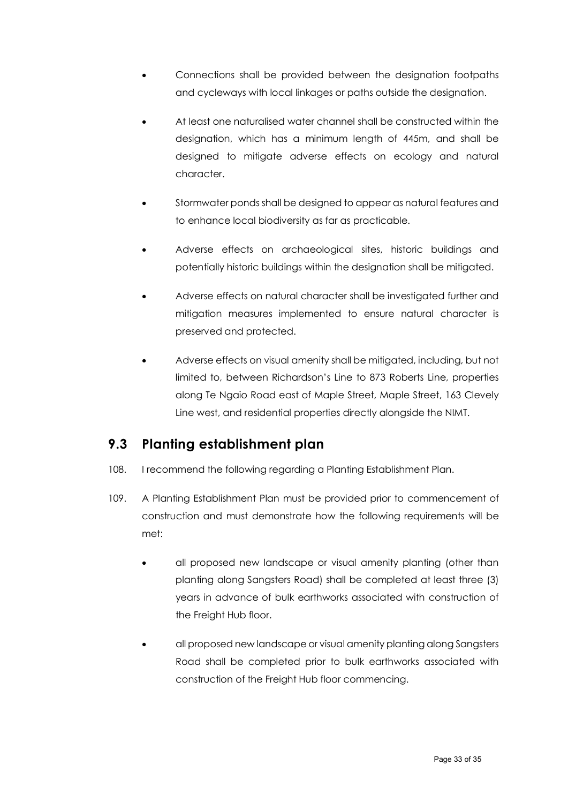- Connections shall be provided between the designation footpaths and cycleways with local linkages or paths outside the designation.
- At least one naturalised water channel shall be constructed within the designation, which has a minimum length of 445m, and shall be designed to mitigate adverse effects on ecology and natural character.
- Stormwater ponds shall be designed to appear as natural features and to enhance local biodiversity as far as practicable.
- Adverse effects on archaeological sites, historic buildings and potentially historic buildings within the designation shall be mitigated.
- Adverse effects on natural character shall be investigated further and mitigation measures implemented to ensure natural character is preserved and protected.
- Adverse effects on visual amenity shall be mitigated, including, but not limited to, between Richardson's Line to 873 Roberts Line, properties along Te Ngaio Road east of Maple Street, Maple Street, 163 Clevely Line west, and residential properties directly alongside the NIMT.

### <span id="page-32-0"></span>**9.3 Planting establishment plan**

- 108. I recommend the following regarding a Planting Establishment Plan.
- 109. A Planting Establishment Plan must be provided prior to commencement of construction and must demonstrate how the following requirements will be met:
	- all proposed new landscape or visual amenity planting (other than planting along Sangsters Road) shall be completed at least three (3) years in advance of bulk earthworks associated with construction of the Freight Hub floor.
	- all proposed new landscape or visual amenity planting along Sangsters Road shall be completed prior to bulk earthworks associated with construction of the Freight Hub floor commencing.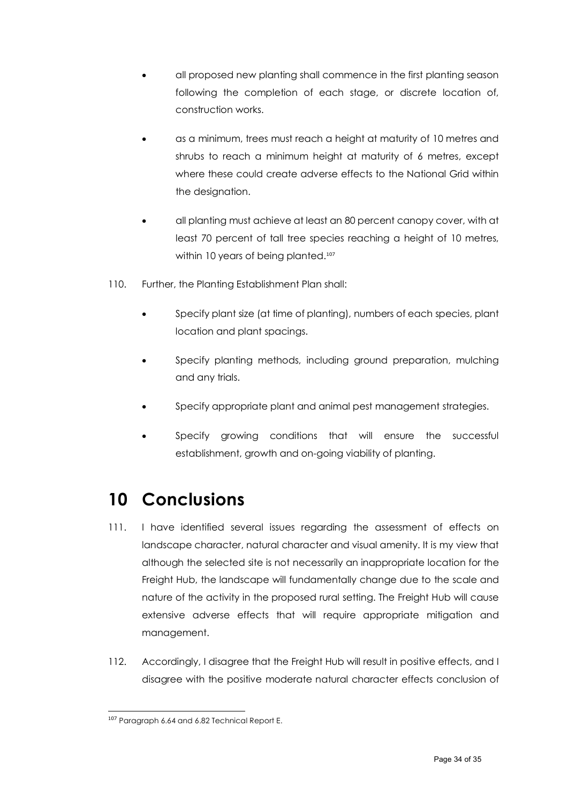- all proposed new planting shall commence in the first planting season following the completion of each stage, or discrete location of, construction works.
- as a minimum, trees must reach a height at maturity of 10 metres and shrubs to reach a minimum height at maturity of 6 metres, except where these could create adverse effects to the National Grid within the designation.
- all planting must achieve at least an 80 percent canopy cover, with at least 70 percent of tall tree species reaching a height of 10 metres, within 10 years of being planted.<sup>[107](#page-33-1)</sup>
- 110. Further, the Planting Establishment Plan shall:
	- Specify plant size (at time of planting), numbers of each species, plant location and plant spacings.
	- Specify planting methods, including ground preparation, mulching and any trials.
	- Specify appropriate plant and animal pest management strategies.
	- Specify growing conditions that will ensure the successful establishment, growth and on-going viability of planting.

# <span id="page-33-0"></span>**10 Conclusions**

- 111. I have identified several issues regarding the assessment of effects on landscape character, natural character and visual amenity. It is my view that although the selected site is not necessarily an inappropriate location for the Freight Hub, the landscape will fundamentally change due to the scale and nature of the activity in the proposed rural setting. The Freight Hub will cause extensive adverse effects that will require appropriate mitigation and management.
- 112. Accordingly, I disagree that the Freight Hub will result in positive effects, and I disagree with the positive moderate natural character effects conclusion of

<span id="page-33-1"></span><sup>107</sup> Paragraph 6.64 and 6.82 Technical Report E.